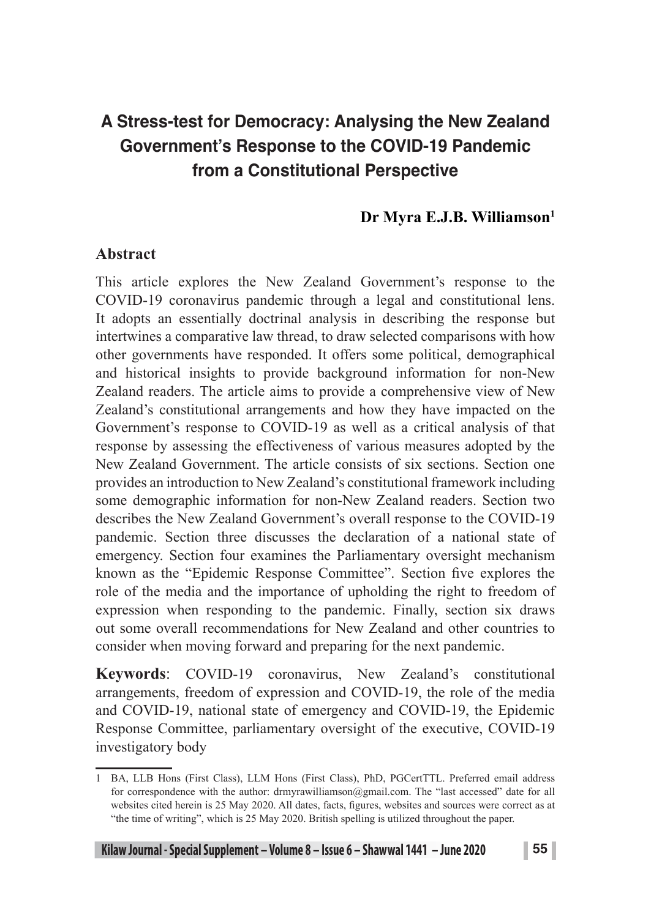# **A Stress-test for Democracy: Analysing the New Zealand Government's Response to the COVID-19 Pandemic from a Constitutional Perspective**

### Dr Myra E.J.B. Williamson<sup>1</sup>

### **Abstract**

This article explores the New Zealand Government's response to the COVID-19 coronavirus pandemic through a legal and constitutional lens. It adopts an essentially doctrinal analysis in describing the response but intertwines a comparative law thread, to draw selected comparisons with how other governments have responded. It offers some political, demographical and historical insights to provide background information for non-New Zealand readers. The article aims to provide a comprehensive view of New Zealand's constitutional arrangements and how they have impacted on the Government's response to COVID-19 as well as a critical analysis of that response by assessing the effectiveness of various measures adopted by the New Zealand Government. The article consists of six sections. Section one provides an introduction to New Zealand's constitutional framework including some demographic information for non-New Zealand readers. Section two describes the New Zealand Government's overall response to the COVID-19 pandemic. Section three discusses the declaration of a national state of emergency. Section four examines the Parliamentary oversight mechanism known as the "Epidemic Response Committee". Section five explores the role of the media and the importance of upholding the right to freedom of expression when responding to the pandemic. Finally, section six draws out some overall recommendations for New Zealand and other countries to consider when moving forward and preparing for the next pandemic.

**Keywords**: COVID-19 coronavirus, New Zealand's constitutional arrangements, freedom of expression and COVID-19, the role of the media and COVID-19, national state of emergency and COVID-19, the Epidemic Response Committee, parliamentary oversight of the executive, COVID-19 investigatory body

<sup>1</sup> BA, LLB Hons (First Class), LLM Hons (First Class), PhD, PGCertTTL. Preferred email address for correspondence with the author: drmyrawilliamson@gmail.com. The "last accessed" date for all websites cited herein is 25 May 2020. All dates, facts, figures, websites and sources were correct as at "the time of writing", which is 25 May 2020. British spelling is utilized throughout the paper.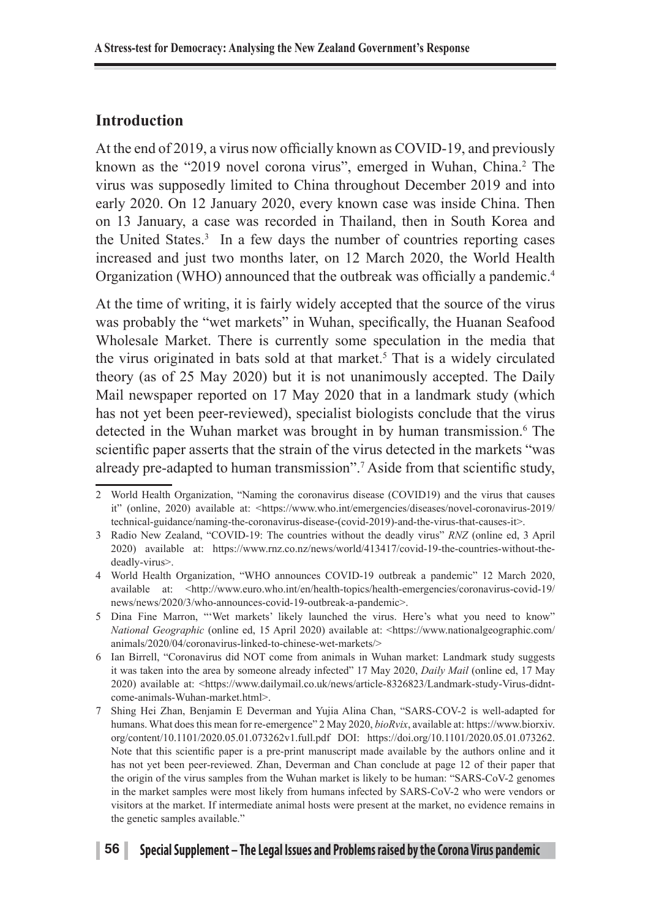### **Introduction**

At the end of 2019, a virus now officially known as COVID-19, and previously known as the "2019 novel corona virus", emerged in Wuhan, China.<sup>2</sup> The virus was supposedly limited to China throughout December 2019 and into early 2020. On 12 January 2020, every known case was inside China. Then on 13 January, a case was recorded in Thailand, then in South Korea and the United States.<sup>3</sup> In a few days the number of countries reporting cases increased and just two months later, on 12 March 2020, the World Health Organization (WHO) announced that the outbreak was officially a pandemic.<sup>4</sup>

At the time of writing, it is fairly widely accepted that the source of the virus was probably the "wet markets" in Wuhan, specifically, the Huanan Seafood Wholesale Market. There is currently some speculation in the media that the virus originated in bats sold at that market.<sup>5</sup> That is a widely circulated theory (as of 25 May 2020) but it is not unanimously accepted. The Daily Mail newspaper reported on 17 May 2020 that in a landmark study (which has not yet been peer-reviewed), specialist biologists conclude that the virus detected in the Wuhan market was brought in by human transmission.<sup>6</sup> The scientific paper asserts that the strain of the virus detected in the markets "was already pre-adapted to human transmission".7 Aside from that scientific study,

#### **56 Special Supplement – The Legal Issues and Problems raised by the Corona Virus pandemic**

<sup>2</sup> World Health Organization, "Naming the coronavirus disease (COVID19) and the virus that causes it" (online, 2020) available at: <https://www.who.int/emergencies/diseases/novel-coronavirus-2019/ technical-guidance/naming-the-coronavirus-disease-(covid-2019)-and-the-virus-that-causes-it>.

<sup>3</sup> Radio New Zealand, "COVID-19: The countries without the deadly virus" *RNZ* (online ed, 3 April 2020) available at: https://www.rnz.co.nz/news/world/413417/covid-19-the-countries-without-thedeadly-virus>.

<sup>4</sup> World Health Organization, "WHO announces COVID-19 outbreak a pandemic" 12 March 2020, available at: <http://www.euro.who.int/en/health-topics/health-emergencies/coronavirus-covid-19/ news/news/2020/3/who-announces-covid-19-outbreak-a-pandemic>.

<sup>5</sup> Dina Fine Marron, "'Wet markets' likely launched the virus. Here's what you need to know" *National Geographic* (online ed, 15 April 2020) available at: <https://www.nationalgeographic.com/ animals/2020/04/coronavirus-linked-to-chinese-wet-markets/>

<sup>6</sup> Ian Birrell, "Coronavirus did NOT come from animals in Wuhan market: Landmark study suggests it was taken into the area by someone already infected" 17 May 2020, *Daily Mail* (online ed, 17 May 2020) available at: <https://www.dailymail.co.uk/news/article-8326823/Landmark-study-Virus-didntcome-animals-Wuhan-market.html>.

<sup>7</sup> Shing Hei Zhan, Benjamin E Deverman and Yujia Alina Chan, "SARS-COV-2 is well-adapted for humans. What does this mean for re-emergence" 2 May 2020, *bioRvix*, available at: https://www.biorxiv. org/content/10.1101/2020.05.01.073262v1.full.pdf DOI: https://doi.org/10.1101/2020.05.01.073262. Note that this scientific paper is a pre-print manuscript made available by the authors online and it has not yet been peer-reviewed. Zhan, Deverman and Chan conclude at page 12 of their paper that the origin of the virus samples from the Wuhan market is likely to be human: "SARS-CoV-2 genomes in the market samples were most likely from humans infected by SARS-CoV-2 who were vendors or visitors at the market. If intermediate animal hosts were present at the market, no evidence remains in the genetic samples available."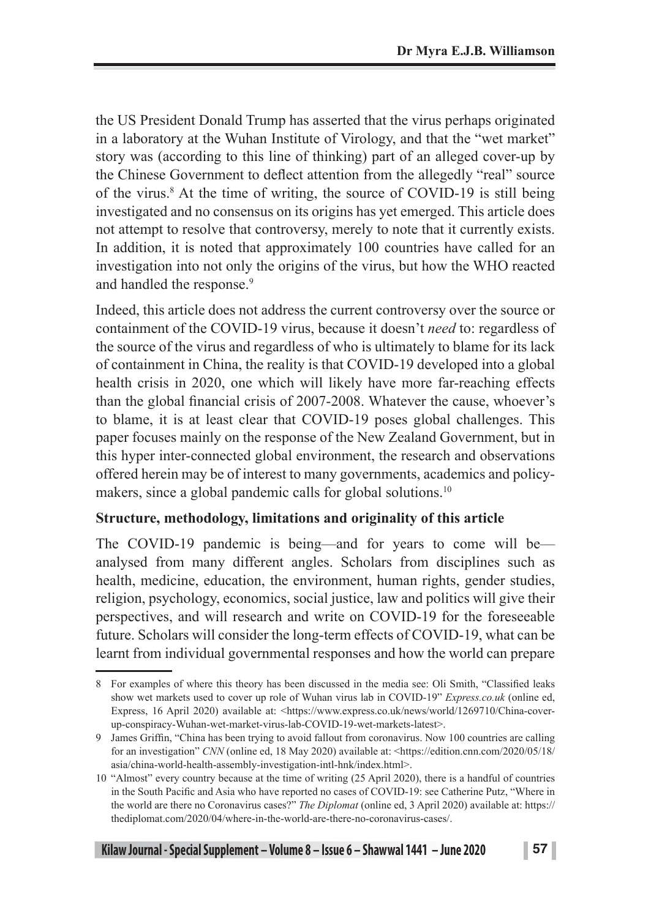the US President Donald Trump has asserted that the virus perhaps originated in a laboratory at the Wuhan Institute of Virology, and that the "wet market" story was (according to this line of thinking) part of an alleged cover-up by the Chinese Government to deflect attention from the allegedly "real" source of the virus.8 At the time of writing, the source of COVID-19 is still being investigated and no consensus on its origins has yet emerged. This article does not attempt to resolve that controversy, merely to note that it currently exists. In addition, it is noted that approximately 100 countries have called for an investigation into not only the origins of the virus, but how the WHO reacted and handled the response.<sup>9</sup>

Indeed, this article does not address the current controversy over the source or containment of the COVID-19 virus, because it doesn't *need* to: regardless of the source of the virus and regardless of who is ultimately to blame for its lack of containment in China, the reality is that COVID-19 developed into a global health crisis in 2020, one which will likely have more far-reaching effects than the global financial crisis of 2007-2008. Whatever the cause, whoever's to blame, it is at least clear that COVID-19 poses global challenges. This paper focuses mainly on the response of the New Zealand Government, but in this hyper inter-connected global environment, the research and observations offered herein may be of interest to many governments, academics and policymakers, since a global pandemic calls for global solutions.<sup>10</sup>

### **Structure, methodology, limitations and originality of this article**

The COVID-19 pandemic is being—and for years to come will be analysed from many different angles. Scholars from disciplines such as health, medicine, education, the environment, human rights, gender studies, religion, psychology, economics, social justice, law and politics will give their perspectives, and will research and write on COVID-19 for the foreseeable future. Scholars will consider the long-term effects of COVID-19, what can be learnt from individual governmental responses and how the world can prepare

<sup>8</sup> For examples of where this theory has been discussed in the media see: Oli Smith, "Classified leaks show wet markets used to cover up role of Wuhan virus lab in COVID-19" *Express.co.uk* (online ed, Express, 16 April 2020) available at: <https://www.express.co.uk/news/world/1269710/China-coverup-conspiracy-Wuhan-wet-market-virus-lab-COVID-19-wet-markets-latest>.

<sup>9</sup> James Griffin, "China has been trying to avoid fallout from coronavirus. Now 100 countries are calling for an investigation" *CNN* (online ed, 18 May 2020) available at: <https://edition.cnn.com/2020/05/18/ asia/china-world-health-assembly-investigation-intl-hnk/index.html>.

<sup>10</sup> "Almost" every country because at the time of writing (25 April 2020), there is a handful of countries in the South Pacific and Asia who have reported no cases of COVID-19: see Catherine Putz, "Where in the world are there no Coronavirus cases?" *The Diplomat* (online ed, 3 April 2020) available at: https:// thediplomat.com/2020/04/where-in-the-world-are-there-no-coronavirus-cases/.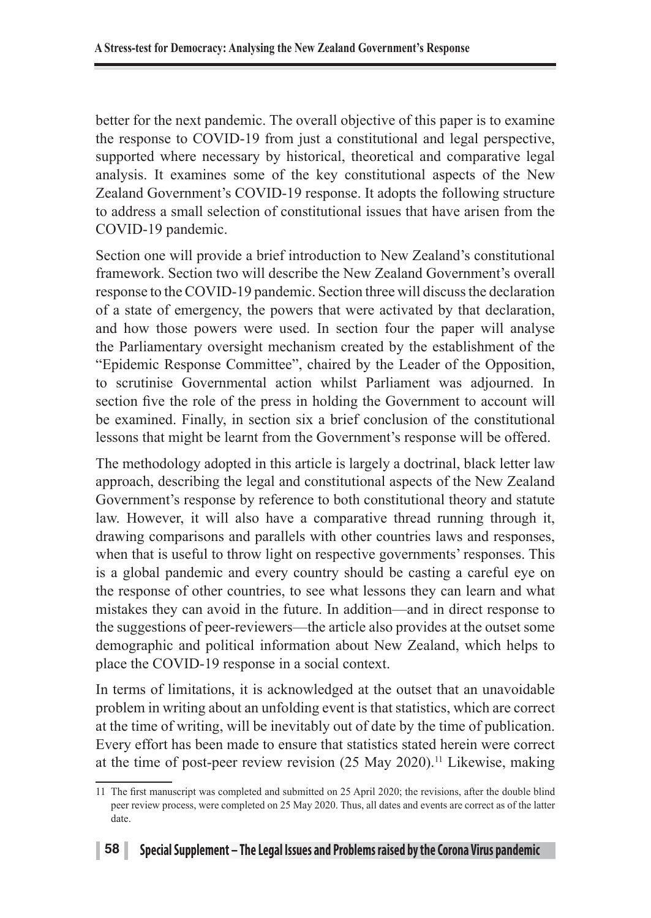better for the next pandemic. The overall objective of this paper is to examine the response to COVID-19 from just a constitutional and legal perspective, supported where necessary by historical, theoretical and comparative legal analysis. It examines some of the key constitutional aspects of the New Zealand Government's COVID-19 response. It adopts the following structure to address a small selection of constitutional issues that have arisen from the COVID-19 pandemic.

Section one will provide a brief introduction to New Zealand's constitutional framework. Section two will describe the New Zealand Government's overall response to the COVID-19 pandemic. Section three will discuss the declaration of a state of emergency, the powers that were activated by that declaration, and how those powers were used. In section four the paper will analyse the Parliamentary oversight mechanism created by the establishment of the "Epidemic Response Committee", chaired by the Leader of the Opposition, to scrutinise Governmental action whilst Parliament was adjourned. In section five the role of the press in holding the Government to account will be examined. Finally, in section six a brief conclusion of the constitutional lessons that might be learnt from the Government's response will be offered.

The methodology adopted in this article is largely a doctrinal, black letter law approach, describing the legal and constitutional aspects of the New Zealand Government's response by reference to both constitutional theory and statute law. However, it will also have a comparative thread running through it, drawing comparisons and parallels with other countries laws and responses, when that is useful to throw light on respective governments' responses. This is a global pandemic and every country should be casting a careful eye on the response of other countries, to see what lessons they can learn and what mistakes they can avoid in the future. In addition—and in direct response to the suggestions of peer-reviewers—the article also provides at the outset some demographic and political information about New Zealand, which helps to place the COVID-19 response in a social context.

In terms of limitations, it is acknowledged at the outset that an unavoidable problem in writing about an unfolding event is that statistics, which are correct at the time of writing, will be inevitably out of date by the time of publication. Every effort has been made to ensure that statistics stated herein were correct at the time of post-peer review revision (25 May 2020).<sup>11</sup> Likewise, making

<sup>11</sup> The first manuscript was completed and submitted on 25 April 2020; the revisions, after the double blind peer review process, were completed on 25 May 2020. Thus, all dates and events are correct as of the latter date.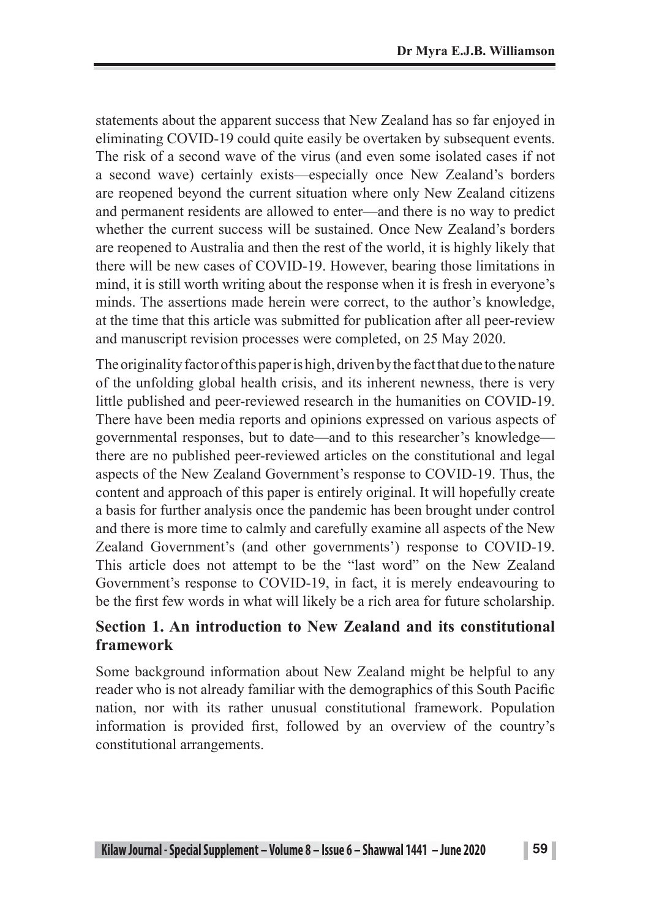statements about the apparent success that New Zealand has so far enjoyed in eliminating COVID-19 could quite easily be overtaken by subsequent events. The risk of a second wave of the virus (and even some isolated cases if not a second wave) certainly exists—especially once New Zealand's borders are reopened beyond the current situation where only New Zealand citizens and permanent residents are allowed to enter—and there is no way to predict whether the current success will be sustained. Once New Zealand's borders are reopened to Australia and then the rest of the world, it is highly likely that there will be new cases of COVID-19. However, bearing those limitations in mind, it is still worth writing about the response when it is fresh in everyone's minds. The assertions made herein were correct, to the author's knowledge, at the time that this article was submitted for publication after all peer-review and manuscript revision processes were completed, on 25 May 2020.

The originality factor of this paper is high, driven by the fact that due to the nature of the unfolding global health crisis, and its inherent newness, there is very little published and peer-reviewed research in the humanities on COVID-19. There have been media reports and opinions expressed on various aspects of governmental responses, but to date—and to this researcher's knowledge there are no published peer-reviewed articles on the constitutional and legal aspects of the New Zealand Government's response to COVID-19. Thus, the content and approach of this paper is entirely original. It will hopefully create a basis for further analysis once the pandemic has been brought under control and there is more time to calmly and carefully examine all aspects of the New Zealand Government's (and other governments') response to COVID-19. This article does not attempt to be the "last word" on the New Zealand Government's response to COVID-19, in fact, it is merely endeavouring to be the first few words in what will likely be a rich area for future scholarship.

### **Section 1. An introduction to New Zealand and its constitutional framework**

Some background information about New Zealand might be helpful to any reader who is not already familiar with the demographics of this South Pacific nation, nor with its rather unusual constitutional framework. Population information is provided first, followed by an overview of the country's constitutional arrangements.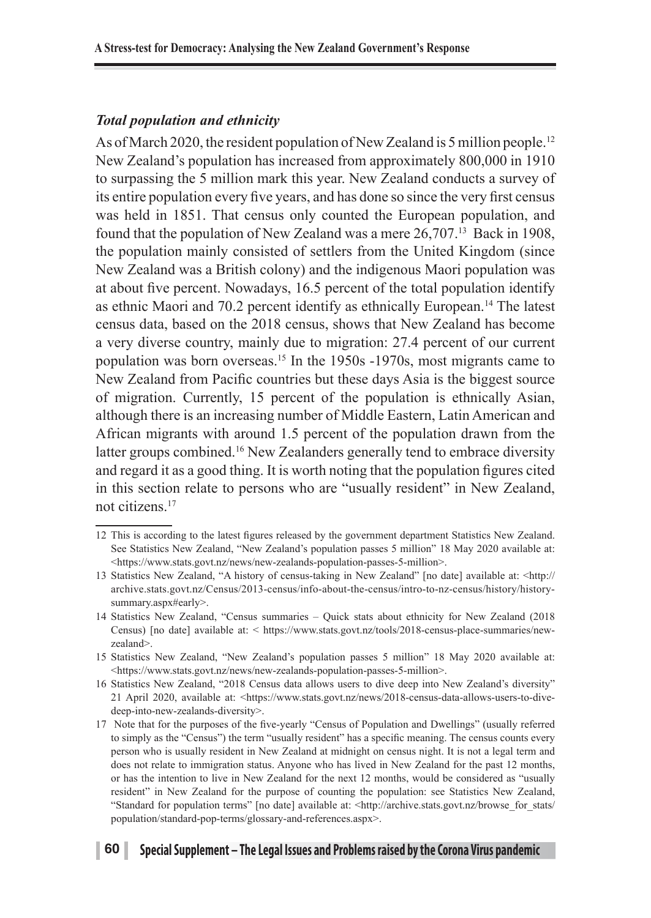#### *Total population and ethnicity*

As of March 2020, the resident population of New Zealand is 5 million people.<sup>12</sup> New Zealand's population has increased from approximately 800,000 in 1910 to surpassing the 5 million mark this year. New Zealand conducts a survey of its entire population every five years, and has done so since the very first census was held in 1851. That census only counted the European population, and found that the population of New Zealand was a mere 26,707.13 Back in 1908, the population mainly consisted of settlers from the United Kingdom (since New Zealand was a British colony) and the indigenous Maori population was at about five percent. Nowadays, 16.5 percent of the total population identify as ethnic Maori and 70.2 percent identify as ethnically European.14 The latest census data, based on the 2018 census, shows that New Zealand has become a very diverse country, mainly due to migration: 27.4 percent of our current population was born overseas.15 In the 1950s -1970s, most migrants came to New Zealand from Pacific countries but these days Asia is the biggest source of migration. Currently, 15 percent of the population is ethnically Asian, although there is an increasing number of Middle Eastern, Latin American and African migrants with around 1.5 percent of the population drawn from the latter groups combined.<sup>16</sup> New Zealanders generally tend to embrace diversity and regard it as a good thing. It is worth noting that the population figures cited in this section relate to persons who are "usually resident" in New Zealand, not citizens.17

#### **60 Special Supplement – The Legal Issues and Problems raised by the Corona Virus pandemic**

<sup>12</sup> This is according to the latest figures released by the government department Statistics New Zealand. See Statistics New Zealand, "New Zealand's population passes 5 million" 18 May 2020 available at: <https://www.stats.govt.nz/news/new-zealands-population-passes-5-million>.

<sup>13</sup> Statistics New Zealand, "A history of census-taking in New Zealand" [no date] available at: <http:// archive.stats.govt.nz/Census/2013-census/info-about-the-census/intro-to-nz-census/history/historysummary.aspx#early>.

<sup>14</sup> Statistics New Zealand, "Census summaries – Quick stats about ethnicity for New Zealand (2018 Census) [no date] available at: < https://www.stats.govt.nz/tools/2018-census-place-summaries/newzealand>.

<sup>15</sup> Statistics New Zealand, "New Zealand's population passes 5 million" 18 May 2020 available at: <https://www.stats.govt.nz/news/new-zealands-population-passes-5-million>.

<sup>16</sup> Statistics New Zealand, "2018 Census data allows users to dive deep into New Zealand's diversity" 21 April 2020, available at: <https://www.stats.govt.nz/news/2018-census-data-allows-users-to-divedeep-into-new-zealands-diversity>.

<sup>17</sup> Note that for the purposes of the five-yearly "Census of Population and Dwellings" (usually referred to simply as the "Census") the term "usually resident" has a specific meaning. The census counts every person who is usually resident in New Zealand at midnight on census night. It is not a legal term and does not relate to immigration status. Anyone who has lived in New Zealand for the past 12 months, or has the intention to live in New Zealand for the next 12 months, would be considered as "usually resident" in New Zealand for the purpose of counting the population: see Statistics New Zealand, "Standard for population terms" [no date] available at: <http://archive.stats.govt.nz/browse\_for\_stats/ population/standard-pop-terms/glossary-and-references.aspx>.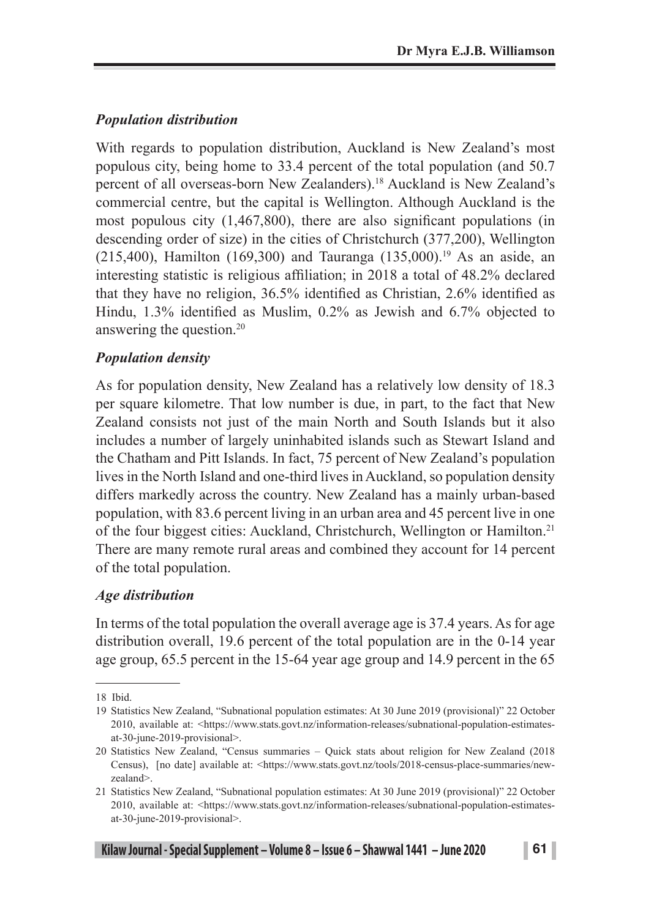### *Population distribution*

With regards to population distribution, Auckland is New Zealand's most populous city, being home to 33.4 percent of the total population (and 50.7 percent of all overseas-born New Zealanders).18 Auckland is New Zealand's commercial centre, but the capital is Wellington. Although Auckland is the most populous city (1,467,800), there are also significant populations (in descending order of size) in the cities of Christchurch (377,200), Wellington (215,400), Hamilton (169,300) and Tauranga (135,000).<sup>19</sup> As an aside, an interesting statistic is religious affiliation; in 2018 a total of 48.2% declared that they have no religion, 36.5% identified as Christian, 2.6% identified as Hindu, 1.3% identified as Muslim, 0.2% as Jewish and 6.7% objected to answering the question.20

### *Population density*

As for population density, New Zealand has a relatively low density of 18.3 per square kilometre. That low number is due, in part, to the fact that New Zealand consists not just of the main North and South Islands but it also includes a number of largely uninhabited islands such as Stewart Island and the Chatham and Pitt Islands. In fact, 75 percent of New Zealand's population lives in the North Island and one-third lives in Auckland, so population density differs markedly across the country. New Zealand has a mainly urban-based population, with 83.6 percent living in an urban area and 45 percent live in one of the four biggest cities: Auckland, Christchurch, Wellington or Hamilton.21 There are many remote rural areas and combined they account for 14 percent of the total population.

### *Age distribution*

In terms of the total population the overall average age is 37.4 years. As for age distribution overall, 19.6 percent of the total population are in the 0-14 year age group, 65.5 percent in the 15-64 year age group and 14.9 percent in the 65

<sup>18</sup> Ibid.

<sup>19</sup> Statistics New Zealand, "Subnational population estimates: At 30 June 2019 (provisional)" 22 October 2010, available at: <https://www.stats.govt.nz/information-releases/subnational-population-estimatesat-30-june-2019-provisional>.

<sup>20</sup> Statistics New Zealand, "Census summaries – Quick stats about religion for New Zealand (2018 Census), [no date] available at: <https://www.stats.govt.nz/tools/2018-census-place-summaries/newzealand>.

<sup>21</sup> Statistics New Zealand, "Subnational population estimates: At 30 June 2019 (provisional)" 22 October 2010, available at: <https://www.stats.govt.nz/information-releases/subnational-population-estimatesat-30-june-2019-provisional>.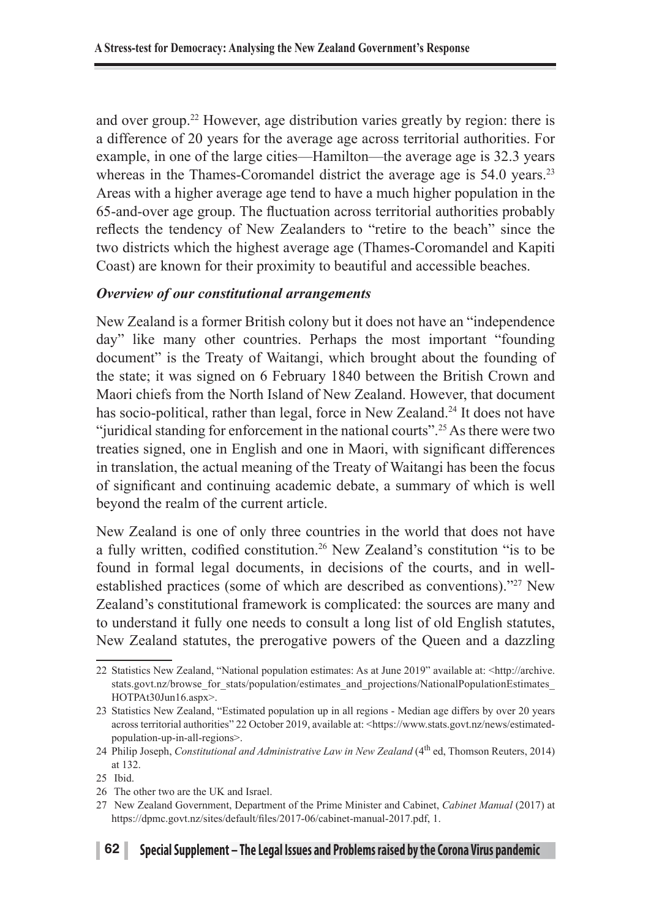and over group.22 However, age distribution varies greatly by region: there is a difference of 20 years for the average age across territorial authorities. For example, in one of the large cities—Hamilton—the average age is 32.3 years whereas in the Thames-Coromandel district the average age is 54.0 years.<sup>23</sup> Areas with a higher average age tend to have a much higher population in the 65-and-over age group. The fluctuation across territorial authorities probably reflects the tendency of New Zealanders to "retire to the beach" since the two districts which the highest average age (Thames-Coromandel and Kapiti Coast) are known for their proximity to beautiful and accessible beaches.

### *Overview of our constitutional arrangements*

New Zealand is a former British colony but it does not have an "independence day" like many other countries. Perhaps the most important "founding document" is the Treaty of Waitangi, which brought about the founding of the state; it was signed on 6 February 1840 between the British Crown and Maori chiefs from the North Island of New Zealand. However, that document has socio-political, rather than legal, force in New Zealand.<sup>24</sup> It does not have "juridical standing for enforcement in the national courts".25 As there were two treaties signed, one in English and one in Maori, with significant differences in translation, the actual meaning of the Treaty of Waitangi has been the focus of significant and continuing academic debate, a summary of which is well beyond the realm of the current article.

New Zealand is one of only three countries in the world that does not have a fully written, codified constitution.26 New Zealand's constitution "is to be found in formal legal documents, in decisions of the courts, and in wellestablished practices (some of which are described as conventions)."27 New Zealand's constitutional framework is complicated: the sources are many and to understand it fully one needs to consult a long list of old English statutes, New Zealand statutes, the prerogative powers of the Queen and a dazzling

<sup>22</sup> Statistics New Zealand, "National population estimates: As at June 2019" available at: <http://archive. stats.govt.nz/browse\_for\_stats/population/estimates\_and\_projections/NationalPopulationEstimates HOTPAt30Jun16.aspx>.

<sup>23</sup> Statistics New Zealand, "Estimated population up in all regions - Median age differs by over 20 years across territorial authorities" 22 October 2019, available at: <https://www.stats.govt.nz/news/estimatedpopulation-up-in-all-regions>.

<sup>24</sup> Philip Joseph, *Constitutional and Administrative Law in New Zealand* (4<sup>th</sup> ed, Thomson Reuters, 2014) at 132.

<sup>25</sup> Ibid.

<sup>26</sup> The other two are the UK and Israel.

<sup>27</sup> New Zealand Government, Department of the Prime Minister and Cabinet, *Cabinet Manual* (2017) at https://dpmc.govt.nz/sites/default/files/2017-06/cabinet-manual-2017.pdf, 1.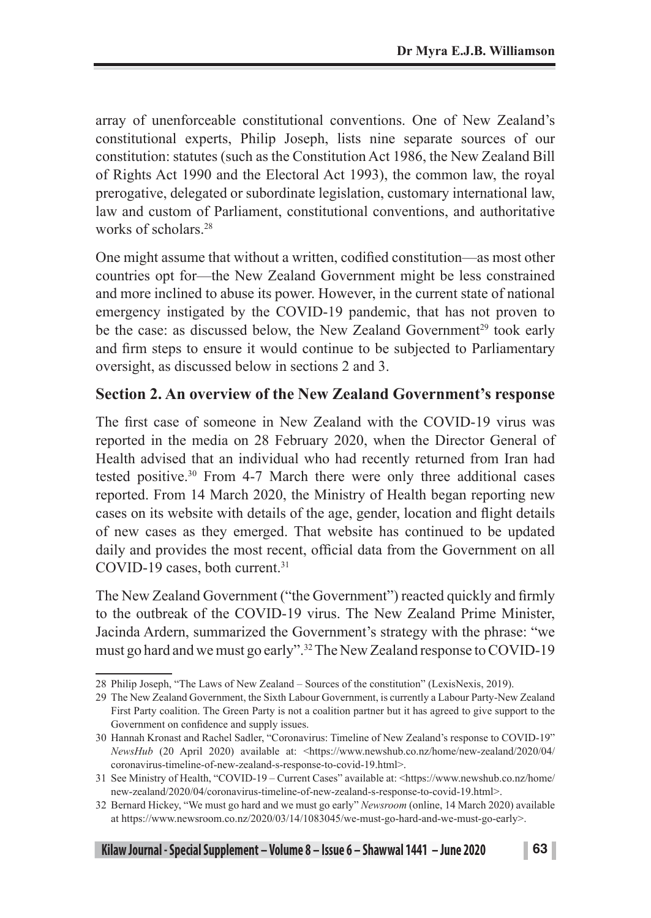array of unenforceable constitutional conventions. One of New Zealand's constitutional experts, Philip Joseph, lists nine separate sources of our constitution: statutes (such as the Constitution Act 1986, the New Zealand Bill of Rights Act 1990 and the Electoral Act 1993), the common law, the royal prerogative, delegated or subordinate legislation, customary international law, law and custom of Parliament, constitutional conventions, and authoritative works of scholars<sup>28</sup>

One might assume that without a written, codified constitution—as most other countries opt for—the New Zealand Government might be less constrained and more inclined to abuse its power. However, in the current state of national emergency instigated by the COVID-19 pandemic, that has not proven to be the case: as discussed below, the New Zealand Government<sup>29</sup> took early and firm steps to ensure it would continue to be subjected to Parliamentary oversight, as discussed below in sections 2 and 3.

### **Section 2. An overview of the New Zealand Government's response**

The first case of someone in New Zealand with the COVID-19 virus was reported in the media on 28 February 2020, when the Director General of Health advised that an individual who had recently returned from Iran had tested positive.30 From 4-7 March there were only three additional cases reported. From 14 March 2020, the Ministry of Health began reporting new cases on its website with details of the age, gender, location and flight details of new cases as they emerged. That website has continued to be updated daily and provides the most recent, official data from the Government on all COVID-19 cases, both current.<sup>31</sup>

The New Zealand Government ("the Government") reacted quickly and firmly to the outbreak of the COVID-19 virus. The New Zealand Prime Minister, Jacinda Ardern, summarized the Government's strategy with the phrase: "we must go hard and we must go early".32 The New Zealand response to COVID-19

<sup>28</sup> Philip Joseph, "The Laws of New Zealand – Sources of the constitution" (LexisNexis, 2019).

<sup>29</sup> The New Zealand Government, the Sixth Labour Government, is currently a Labour Party-New Zealand First Party coalition. The Green Party is not a coalition partner but it has agreed to give support to the Government on confidence and supply issues.

<sup>30</sup> Hannah Kronast and Rachel Sadler, "Coronavirus: Timeline of New Zealand's response to COVID-19" *NewsHub* (20 April 2020) available at: <https://www.newshub.co.nz/home/new-zealand/2020/04/ coronavirus-timeline-of-new-zealand-s-response-to-covid-19.html>.

<sup>31</sup> See Ministry of Health, "COVID-19 – Current Cases" available at: <https://www.newshub.co.nz/home/ new-zealand/2020/04/coronavirus-timeline-of-new-zealand-s-response-to-covid-19.html>.

<sup>32</sup> Bernard Hickey, "We must go hard and we must go early" *Newsroom* (online, 14 March 2020) available at https://www.newsroom.co.nz/2020/03/14/1083045/we-must-go-hard-and-we-must-go-early>.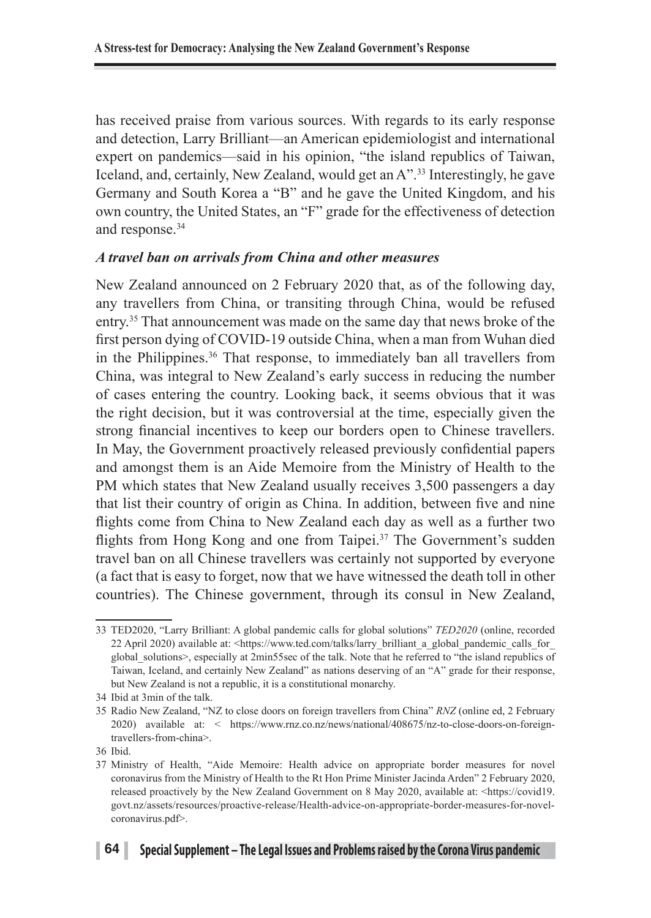has received praise from various sources. With regards to its early response and detection, Larry Brilliant—an American epidemiologist and international expert on pandemics—said in his opinion, "the island republics of Taiwan, Iceland, and, certainly, New Zealand, would get an A".33 Interestingly, he gave Germany and South Korea a "B" and he gave the United Kingdom, and his own country, the United States, an "F" grade for the effectiveness of detection and response.<sup>34</sup>

### *A travel ban on arrivals from China and other measures*

New Zealand announced on 2 February 2020 that, as of the following day, any travellers from China, or transiting through China, would be refused entry.35 That announcement was made on the same day that news broke of the first person dying of COVID-19 outside China, when a man from Wuhan died in the Philippines.36 That response, to immediately ban all travellers from China, was integral to New Zealand's early success in reducing the number of cases entering the country. Looking back, it seems obvious that it was the right decision, but it was controversial at the time, especially given the strong financial incentives to keep our borders open to Chinese travellers. In May, the Government proactively released previously confidential papers and amongst them is an Aide Memoire from the Ministry of Health to the PM which states that New Zealand usually receives 3,500 passengers a day that list their country of origin as China. In addition, between five and nine flights come from China to New Zealand each day as well as a further two flights from Hong Kong and one from Taipei.<sup>37</sup> The Government's sudden travel ban on all Chinese travellers was certainly not supported by everyone (a fact that is easy to forget, now that we have witnessed the death toll in other countries). The Chinese government, through its consul in New Zealand,

<sup>33</sup> TED2020, "Larry Brilliant: A global pandemic calls for global solutions" *TED2020* (online, recorded 22 April 2020) available at: <https://www.ted.com/talks/larry\_brilliant\_a\_global\_pandemic\_calls\_for\_ global\_solutions>, especially at 2min55sec of the talk. Note that he referred to "the island republics of Taiwan, Iceland, and certainly New Zealand" as nations deserving of an "A" grade for their response, but New Zealand is not a republic, it is a constitutional monarchy.

<sup>34</sup> Ibid at 3min of the talk.

<sup>35</sup> Radio New Zealand, "NZ to close doors on foreign travellers from China" *RNZ* (online ed, 2 February 2020) available at: < https://www.rnz.co.nz/news/national/408675/nz-to-close-doors-on-foreigntravellers-from-china>.

<sup>36</sup> Ibid.

<sup>37</sup> Ministry of Health, "Aide Memoire: Health advice on appropriate border measures for novel coronavirus from the Ministry of Health to the Rt Hon Prime Minister Jacinda Arden" 2 February 2020, released proactively by the New Zealand Government on 8 May 2020, available at: <https://covid19. govt.nz/assets/resources/proactive-release/Health-advice-on-appropriate-border-measures-for-novelcoronavirus.pdf>.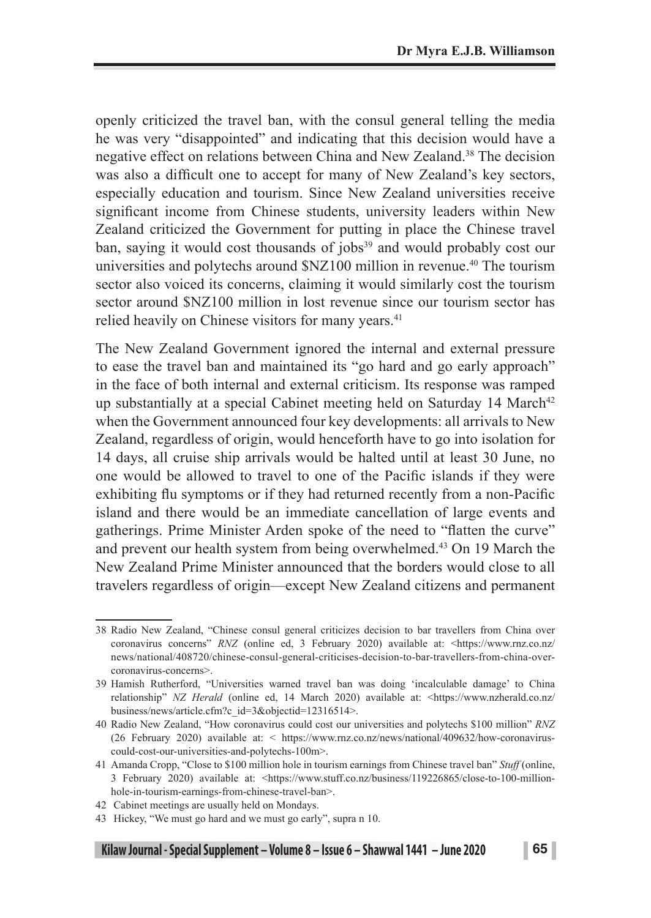openly criticized the travel ban, with the consul general telling the media he was very "disappointed" and indicating that this decision would have a negative effect on relations between China and New Zealand.38 The decision was also a difficult one to accept for many of New Zealand's key sectors, especially education and tourism. Since New Zealand universities receive significant income from Chinese students, university leaders within New Zealand criticized the Government for putting in place the Chinese travel ban, saying it would cost thousands of jobs<sup>39</sup> and would probably cost our universities and polytechs around \$NZ100 million in revenue.<sup>40</sup> The tourism sector also voiced its concerns, claiming it would similarly cost the tourism sector around \$NZ100 million in lost revenue since our tourism sector has relied heavily on Chinese visitors for many years.<sup>41</sup>

The New Zealand Government ignored the internal and external pressure to ease the travel ban and maintained its "go hard and go early approach" in the face of both internal and external criticism. Its response was ramped up substantially at a special Cabinet meeting held on Saturday  $14$  March<sup>42</sup> when the Government announced four key developments: all arrivals to New Zealand, regardless of origin, would henceforth have to go into isolation for 14 days, all cruise ship arrivals would be halted until at least 30 June, no one would be allowed to travel to one of the Pacific islands if they were exhibiting flu symptoms or if they had returned recently from a non-Pacific island and there would be an immediate cancellation of large events and gatherings. Prime Minister Arden spoke of the need to "flatten the curve" and prevent our health system from being overwhelmed.43 On 19 March the New Zealand Prime Minister announced that the borders would close to all travelers regardless of origin—except New Zealand citizens and permanent

<sup>38</sup> Radio New Zealand, "Chinese consul general criticizes decision to bar travellers from China over coronavirus concerns" *RNZ* (online ed, 3 February 2020) available at: <https://www.rnz.co.nz/ news/national/408720/chinese-consul-general-criticises-decision-to-bar-travellers-from-china-overcoronavirus-concerns>.

<sup>39</sup> Hamish Rutherford, "Universities warned travel ban was doing 'incalculable damage' to China relationship" *NZ Herald* (online ed, 14 March 2020) available at: <https://www.nzherald.co.nz/ business/news/article.cfm?c\_id=3&objectid=12316514>.

<sup>40</sup> Radio New Zealand, "How coronavirus could cost our universities and polytechs \$100 million" *RNZ* (26 February 2020) available at: < https://www.rnz.co.nz/news/national/409632/how-coronaviruscould-cost-our-universities-and-polytechs-100m>.

<sup>41</sup> Amanda Cropp, "Close to \$100 million hole in tourism earnings from Chinese travel ban" *Stuff* (online, 3 February 2020) available at: <https://www.stuff.co.nz/business/119226865/close-to-100-millionhole-in-tourism-earnings-from-chinese-travel-ban>.

<sup>42</sup> Cabinet meetings are usually held on Mondays.

<sup>43</sup> Hickey, "We must go hard and we must go early", supra n 10.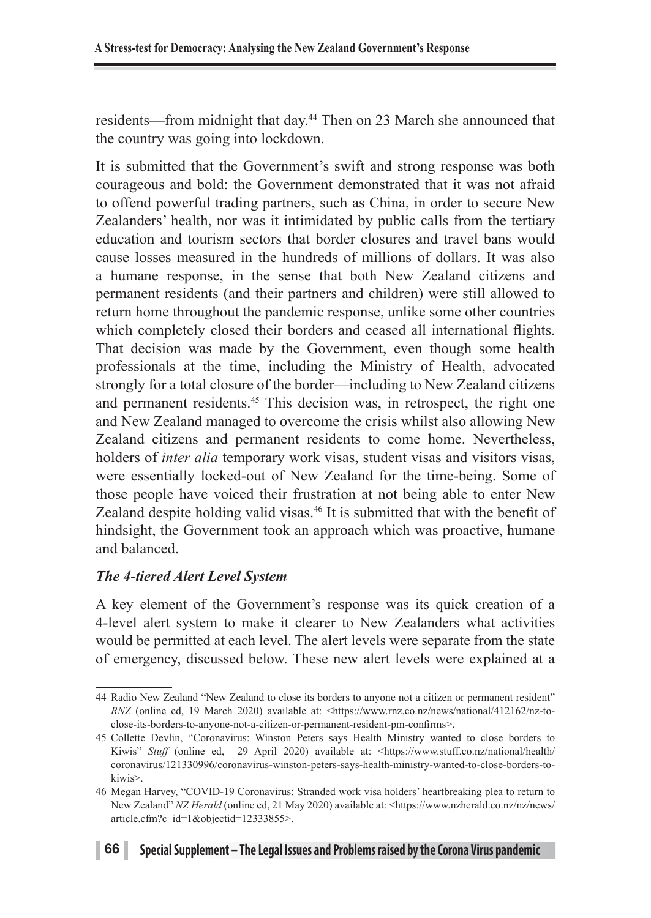residents—from midnight that day.44 Then on 23 March she announced that the country was going into lockdown.

It is submitted that the Government's swift and strong response was both courageous and bold: the Government demonstrated that it was not afraid to offend powerful trading partners, such as China, in order to secure New Zealanders' health, nor was it intimidated by public calls from the tertiary education and tourism sectors that border closures and travel bans would cause losses measured in the hundreds of millions of dollars. It was also a humane response, in the sense that both New Zealand citizens and permanent residents (and their partners and children) were still allowed to return home throughout the pandemic response, unlike some other countries which completely closed their borders and ceased all international flights. That decision was made by the Government, even though some health professionals at the time, including the Ministry of Health, advocated strongly for a total closure of the border—including to New Zealand citizens and permanent residents.<sup>45</sup> This decision was, in retrospect, the right one and New Zealand managed to overcome the crisis whilst also allowing New Zealand citizens and permanent residents to come home. Nevertheless, holders of *inter alia* temporary work visas, student visas and visitors visas, were essentially locked-out of New Zealand for the time-being. Some of those people have voiced their frustration at not being able to enter New Zealand despite holding valid visas.<sup>46</sup> It is submitted that with the benefit of hindsight, the Government took an approach which was proactive, humane and balanced.

### *The 4-tiered Alert Level System*

A key element of the Government's response was its quick creation of a 4-level alert system to make it clearer to New Zealanders what activities would be permitted at each level. The alert levels were separate from the state of emergency, discussed below. These new alert levels were explained at a

<sup>44</sup> Radio New Zealand "New Zealand to close its borders to anyone not a citizen or permanent resident" *RNZ* (online ed, 19 March 2020) available at: <https://www.rnz.co.nz/news/national/412162/nz-toclose-its-borders-to-anyone-not-a-citizen-or-permanent-resident-pm-confirms>.

<sup>45</sup> Collette Devlin, "Coronavirus: Winston Peters says Health Ministry wanted to close borders to Kiwis" *Stuff* (online ed, 29 April 2020) available at: <https://www.stuff.co.nz/national/health/ coronavirus/121330996/coronavirus-winston-peters-says-health-ministry-wanted-to-close-borders-tokiwis>.

<sup>46</sup> Megan Harvey, "COVID-19 Coronavirus: Stranded work visa holders' heartbreaking plea to return to New Zealand" *NZ Herald* (online ed, 21 May 2020) available at: <https://www.nzherald.co.nz/nz/news/ article.cfm?c\_id=1&objectid=12333855>.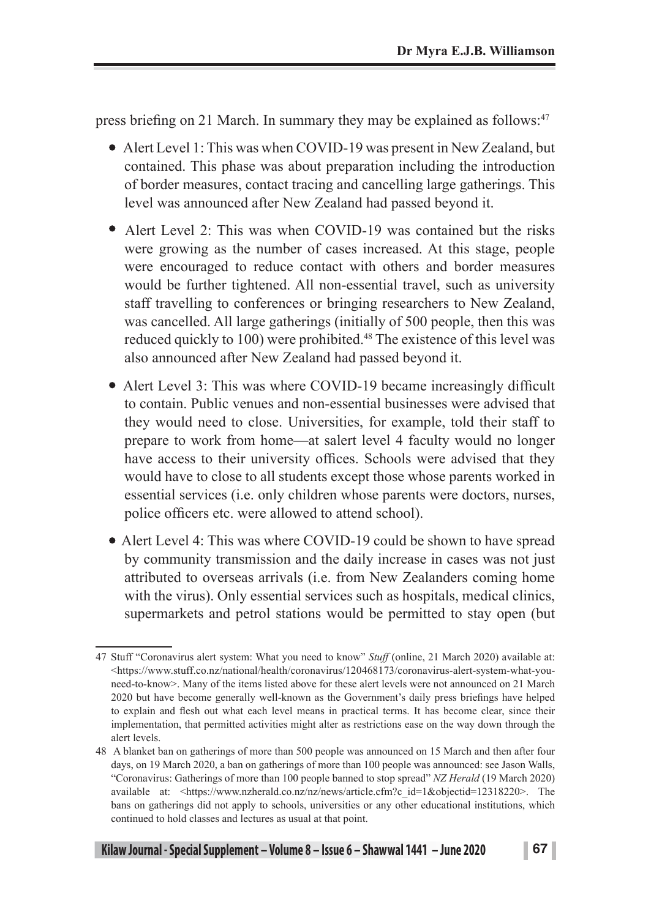press briefing on 21 March. In summary they may be explained as follows:<sup>47</sup>

- Alert Level 1: This was when COVID-19 was present in New Zealand, but contained. This phase was about preparation including the introduction of border measures, contact tracing and cancelling large gatherings. This level was announced after New Zealand had passed beyond it.
- Alert Level 2: This was when COVID-19 was contained but the risks were growing as the number of cases increased. At this stage, people were encouraged to reduce contact with others and border measures would be further tightened. All non-essential travel, such as university staff travelling to conferences or bringing researchers to New Zealand, was cancelled. All large gatherings (initially of 500 people, then this was reduced quickly to 100) were prohibited.<sup>48</sup> The existence of this level was also announced after New Zealand had passed beyond it.
- Alert Level 3: This was where COVID-19 became increasingly difficult to contain. Public venues and non-essential businesses were advised that they would need to close. Universities, for example, told their staff to prepare to work from home—at salert level 4 faculty would no longer have access to their university offices. Schools were advised that they would have to close to all students except those whose parents worked in essential services (i.e. only children whose parents were doctors, nurses, police officers etc. were allowed to attend school).
- Alert Level 4: This was where COVID-19 could be shown to have spread by community transmission and the daily increase in cases was not just attributed to overseas arrivals (i.e. from New Zealanders coming home with the virus). Only essential services such as hospitals, medical clinics, supermarkets and petrol stations would be permitted to stay open (but

<sup>47</sup> Stuff "Coronavirus alert system: What you need to know" *Stuff* (online, 21 March 2020) available at: <https://www.stuff.co.nz/national/health/coronavirus/120468173/coronavirus-alert-system-what-youneed-to-know>. Many of the items listed above for these alert levels were not announced on 21 March 2020 but have become generally well-known as the Government's daily press briefings have helped to explain and flesh out what each level means in practical terms. It has become clear, since their implementation, that permitted activities might alter as restrictions ease on the way down through the alert levels.

<sup>48</sup> A blanket ban on gatherings of more than 500 people was announced on 15 March and then after four days, on 19 March 2020, a ban on gatherings of more than 100 people was announced: see Jason Walls, "Coronavirus: Gatherings of more than 100 people banned to stop spread" *NZ Herald* (19 March 2020) available at: <https://www.nzherald.co.nz/nz/news/article.cfm?c\_id=1&objectid=12318220>. The bans on gatherings did not apply to schools, universities or any other educational institutions, which continued to hold classes and lectures as usual at that point.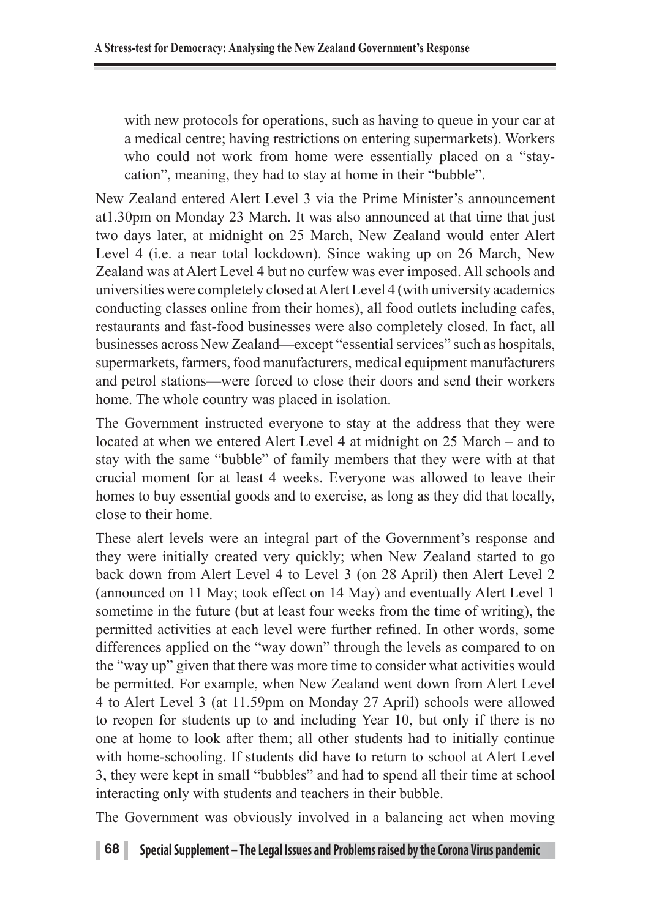with new protocols for operations, such as having to queue in your car at a medical centre; having restrictions on entering supermarkets). Workers who could not work from home were essentially placed on a "staycation", meaning, they had to stay at home in their "bubble".

New Zealand entered Alert Level 3 via the Prime Minister's announcement at1.30pm on Monday 23 March. It was also announced at that time that just two days later, at midnight on 25 March, New Zealand would enter Alert Level 4 (i.e. a near total lockdown). Since waking up on 26 March, New Zealand was at Alert Level 4 but no curfew was ever imposed. All schools and universities were completely closed at Alert Level 4 (with university academics conducting classes online from their homes), all food outlets including cafes, restaurants and fast-food businesses were also completely closed. In fact, all businesses across New Zealand—except "essential services" such as hospitals, supermarkets, farmers, food manufacturers, medical equipment manufacturers and petrol stations—were forced to close their doors and send their workers home. The whole country was placed in isolation.

The Government instructed everyone to stay at the address that they were located at when we entered Alert Level 4 at midnight on 25 March – and to stay with the same "bubble" of family members that they were with at that crucial moment for at least 4 weeks. Everyone was allowed to leave their homes to buy essential goods and to exercise, as long as they did that locally, close to their home.

These alert levels were an integral part of the Government's response and they were initially created very quickly; when New Zealand started to go back down from Alert Level 4 to Level 3 (on 28 April) then Alert Level 2 (announced on 11 May; took effect on 14 May) and eventually Alert Level 1 sometime in the future (but at least four weeks from the time of writing), the permitted activities at each level were further refined. In other words, some differences applied on the "way down" through the levels as compared to on the "way up" given that there was more time to consider what activities would be permitted. For example, when New Zealand went down from Alert Level 4 to Alert Level 3 (at 11.59pm on Monday 27 April) schools were allowed to reopen for students up to and including Year 10, but only if there is no one at home to look after them; all other students had to initially continue with home-schooling. If students did have to return to school at Alert Level 3, they were kept in small "bubbles" and had to spend all their time at school interacting only with students and teachers in their bubble.

The Government was obviously involved in a balancing act when moving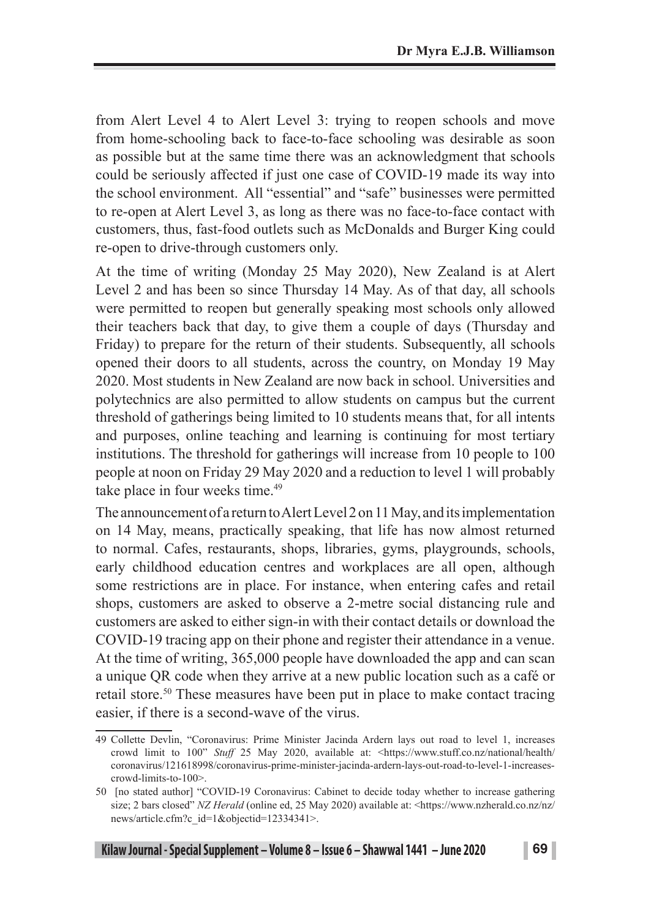from Alert Level 4 to Alert Level 3: trying to reopen schools and move from home-schooling back to face-to-face schooling was desirable as soon as possible but at the same time there was an acknowledgment that schools could be seriously affected if just one case of COVID-19 made its way into the school environment. All "essential" and "safe" businesses were permitted to re-open at Alert Level 3, as long as there was no face-to-face contact with customers, thus, fast-food outlets such as McDonalds and Burger King could re-open to drive-through customers only.

At the time of writing (Monday 25 May 2020), New Zealand is at Alert Level 2 and has been so since Thursday 14 May. As of that day, all schools were permitted to reopen but generally speaking most schools only allowed their teachers back that day, to give them a couple of days (Thursday and Friday) to prepare for the return of their students. Subsequently, all schools opened their doors to all students, across the country, on Monday 19 May 2020. Most students in New Zealand are now back in school. Universities and polytechnics are also permitted to allow students on campus but the current threshold of gatherings being limited to 10 students means that, for all intents and purposes, online teaching and learning is continuing for most tertiary institutions. The threshold for gatherings will increase from 10 people to 100 people at noon on Friday 29 May 2020 and a reduction to level 1 will probably take place in four weeks time.<sup>49</sup>

The announcement of a return to Alert Level 2 on 11 May, and its implementation on 14 May, means, practically speaking, that life has now almost returned to normal. Cafes, restaurants, shops, libraries, gyms, playgrounds, schools, early childhood education centres and workplaces are all open, although some restrictions are in place. For instance, when entering cafes and retail shops, customers are asked to observe a 2-metre social distancing rule and customers are asked to either sign-in with their contact details or download the COVID-19 tracing app on their phone and register their attendance in a venue. At the time of writing, 365,000 people have downloaded the app and can scan a unique QR code when they arrive at a new public location such as a café or retail store.50 These measures have been put in place to make contact tracing easier, if there is a second-wave of the virus.

<sup>49</sup> Collette Devlin, "Coronavirus: Prime Minister Jacinda Ardern lays out road to level 1, increases crowd limit to 100" *Stuff* 25 May 2020, available at: <https://www.stuff.co.nz/national/health/ coronavirus/121618998/coronavirus-prime-minister-jacinda-ardern-lays-out-road-to-level-1-increasescrowd-limits-to-100>.

<sup>50 [</sup>no stated author] "COVID-19 Coronavirus: Cabinet to decide today whether to increase gathering size; 2 bars closed" *NZ Herald* (online ed, 25 May 2020) available at: <https://www.nzherald.co.nz/nz/ news/article.cfm?c\_id=1&objectid=12334341>.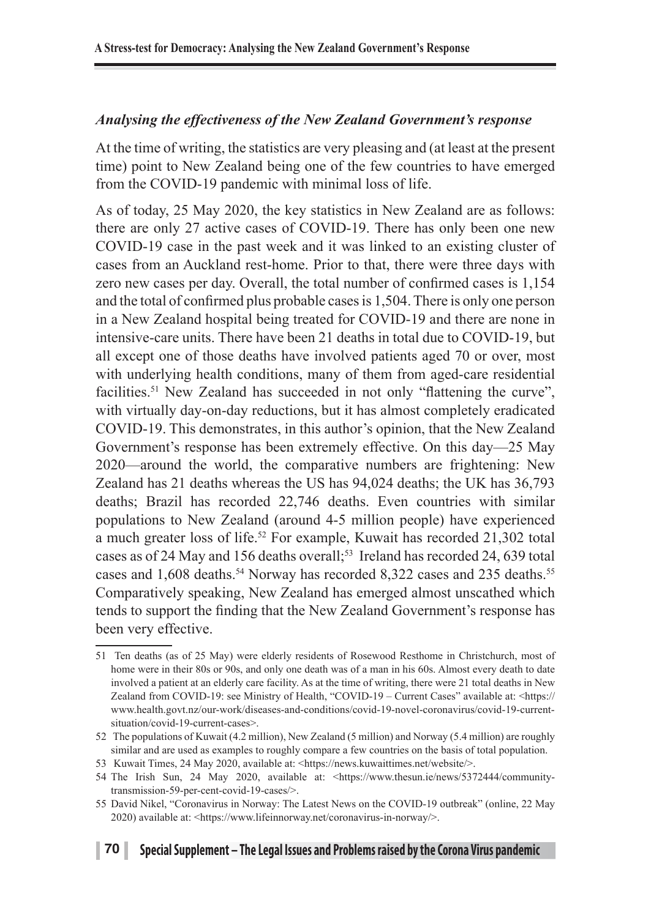### *Analysing the effectiveness of the New Zealand Government's response*

At the time of writing, the statistics are very pleasing and (at least at the present time) point to New Zealand being one of the few countries to have emerged from the COVID-19 pandemic with minimal loss of life.

As of today, 25 May 2020, the key statistics in New Zealand are as follows: there are only 27 active cases of COVID-19. There has only been one new COVID-19 case in the past week and it was linked to an existing cluster of cases from an Auckland rest-home. Prior to that, there were three days with zero new cases per day. Overall, the total number of confirmed cases is 1,154 and the total of confirmed plus probable cases is 1,504. There is only one person in a New Zealand hospital being treated for COVID-19 and there are none in intensive-care units. There have been 21 deaths in total due to COVID-19, but all except one of those deaths have involved patients aged 70 or over, most with underlying health conditions, many of them from aged-care residential facilities.<sup>51</sup> New Zealand has succeeded in not only "flattening the curve", with virtually day-on-day reductions, but it has almost completely eradicated COVID-19. This demonstrates, in this author's opinion, that the New Zealand Government's response has been extremely effective. On this day—25 May 2020—around the world, the comparative numbers are frightening: New Zealand has 21 deaths whereas the US has 94,024 deaths; the UK has 36,793 deaths; Brazil has recorded 22,746 deaths. Even countries with similar populations to New Zealand (around 4-5 million people) have experienced a much greater loss of life.<sup>52</sup> For example, Kuwait has recorded 21,302 total cases as of 24 May and 156 deaths overall;<sup>53</sup> Ireland has recorded 24, 639 total cases and 1,608 deaths.<sup>54</sup> Norway has recorded 8,322 cases and 235 deaths.<sup>55</sup> Comparatively speaking, New Zealand has emerged almost unscathed which tends to support the finding that the New Zealand Government's response has been very effective.

<sup>51</sup> Ten deaths (as of 25 May) were elderly residents of Rosewood Resthome in Christchurch, most of home were in their 80s or 90s, and only one death was of a man in his 60s. Almost every death to date involved a patient at an elderly care facility. As at the time of writing, there were 21 total deaths in New Zealand from COVID-19: see Ministry of Health, "COVID-19 – Current Cases" available at: <https:// www.health.govt.nz/our-work/diseases-and-conditions/covid-19-novel-coronavirus/covid-19-currentsituation/covid-19-current-cases>.

<sup>52</sup> The populations of Kuwait (4.2 million), New Zealand (5 million) and Norway (5.4 million) are roughly similar and are used as examples to roughly compare a few countries on the basis of total population.

<sup>53</sup> Kuwait Times, 24 May 2020, available at: <https://news.kuwaittimes.net/website/>.

<sup>54</sup> The Irish Sun, 24 May 2020, available at: <https://www.thesun.ie/news/5372444/communitytransmission-59-per-cent-covid-19-cases/>.

<sup>55</sup> David Nikel, "Coronavirus in Norway: The Latest News on the COVID-19 outbreak" (online, 22 May 2020) available at: <https://www.lifeinnorway.net/coronavirus-in-norway/>.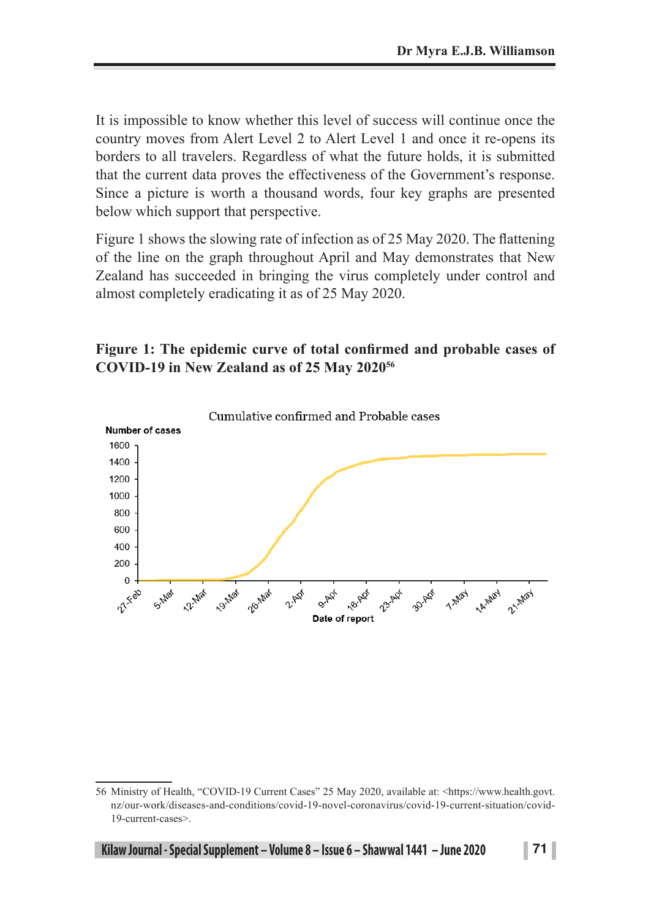It is impossible to know whether this level of success will continue once the country moves from Alert Level 2 to Alert Level 1 and once it re-opens its borders to all travelers. Regardless of what the future holds, it is submitted that the current data proves the effectiveness of the Government's response. Since a picture is worth a thousand words, four key graphs are presented below which support that perspective.

Figure 1 shows the slowing rate of infection as of 25 May 2020. The flattening of the line on the graph throughout April and May demonstrates that New Zealand has succeeded in bringing the virus completely under control and almost completely eradicating it as of 25 May 2020.

### **Figure 1: The epidemic curve of total confirmed and probable cases of COVID-19 in New Zealand as of 25 May 202056**



**Kilaw Journal - Special Supplement – Volume 8 – Issue 6 – Shawwal 1441 – June 2020 71 | 71** 

<sup>56</sup> Ministry of Health, "COVID-19 Current Cases" 25 May 2020, available at: <https://www.health.govt. nz/our-work/diseases-and-conditions/covid-19-novel-coronavirus/covid-19-current-situation/covid-19-current-cases>.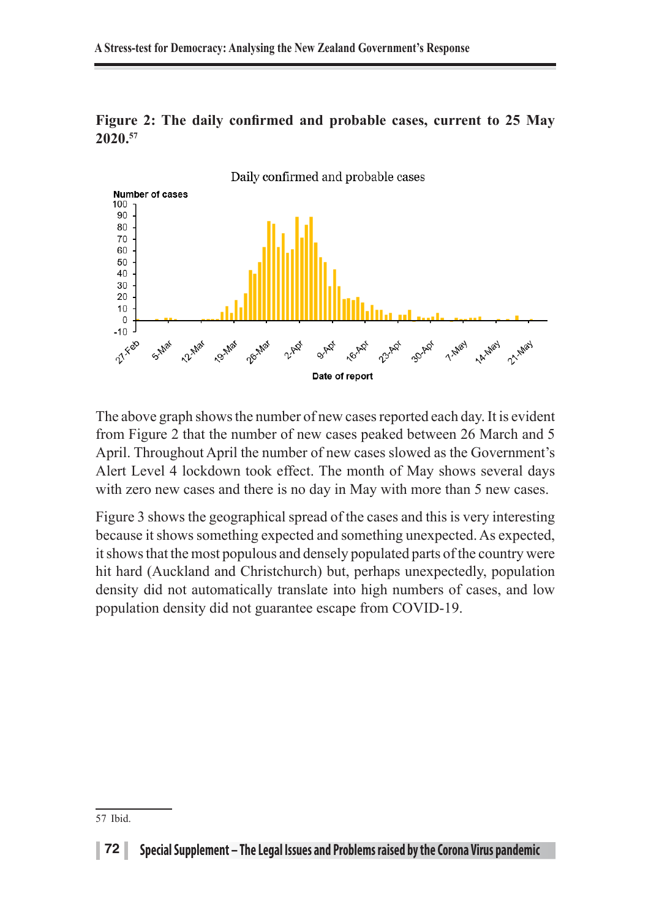

**Figure 2: The daily confirmed and probable cases, current to 25 May 2020.57**

The above graph shows the number of new cases reported each day. It is evident from Figure 2 that the number of new cases peaked between 26 March and 5 April. Throughout April the number of new cases slowed as the Government's Alert Level 4 lockdown took effect. The month of May shows several days with zero new cases and there is no day in May with more than 5 new cases.

Figure 3 shows the geographical spread of the cases and this is very interesting because it shows something expected and something unexpected. As expected, it shows that the most populous and densely populated parts of the country were hit hard (Auckland and Christchurch) but, perhaps unexpectedly, population density did not automatically translate into high numbers of cases, and low population density did not guarantee escape from COVID-19.

<sup>57</sup> Ibid.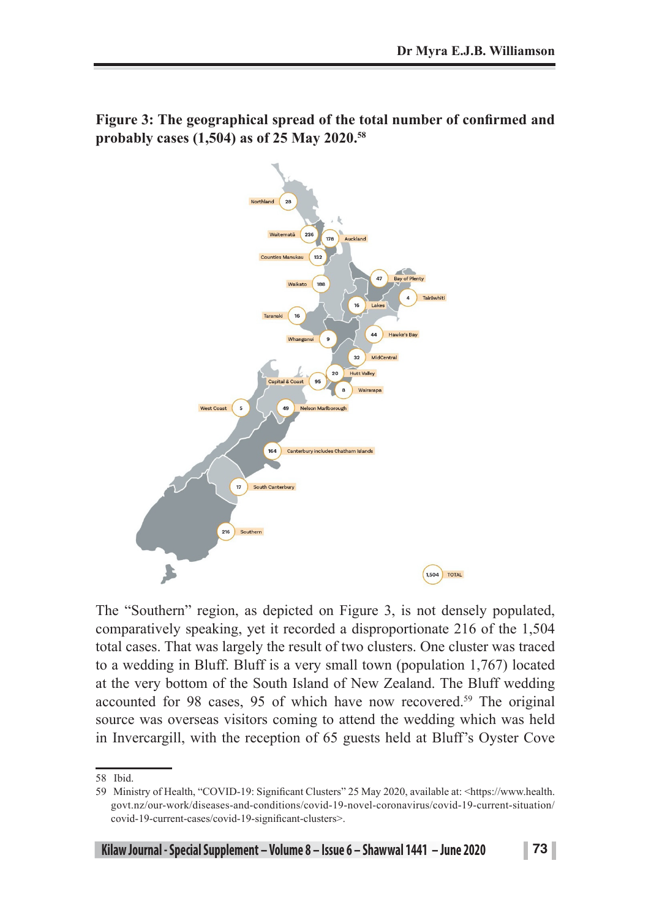

**Figure 3: The geographical spread of the total number of confirmed and probably cases (1,504) as of 25 May 2020.58**

The "Southern" region, as depicted on Figure 3, is not densely populated, comparatively speaking, yet it recorded a disproportionate 216 of the 1,504 total cases. That was largely the result of two clusters. One cluster was traced to a wedding in Bluff. Bluff is a very small town (population 1,767) located at the very bottom of the South Island of New Zealand. The Bluff wedding accounted for 98 cases, 95 of which have now recovered.<sup>59</sup> The original source was overseas visitors coming to attend the wedding which was held in Invercargill, with the reception of 65 guests held at Bluff's Oyster Cove

<sup>58</sup> Ibid.

<sup>59</sup> Ministry of Health, "COVID-19: Significant Clusters" 25 May 2020, available at: <https://www.health. govt.nz/our-work/diseases-and-conditions/covid-19-novel-coronavirus/covid-19-current-situation/ covid-19-current-cases/covid-19-significant-clusters>.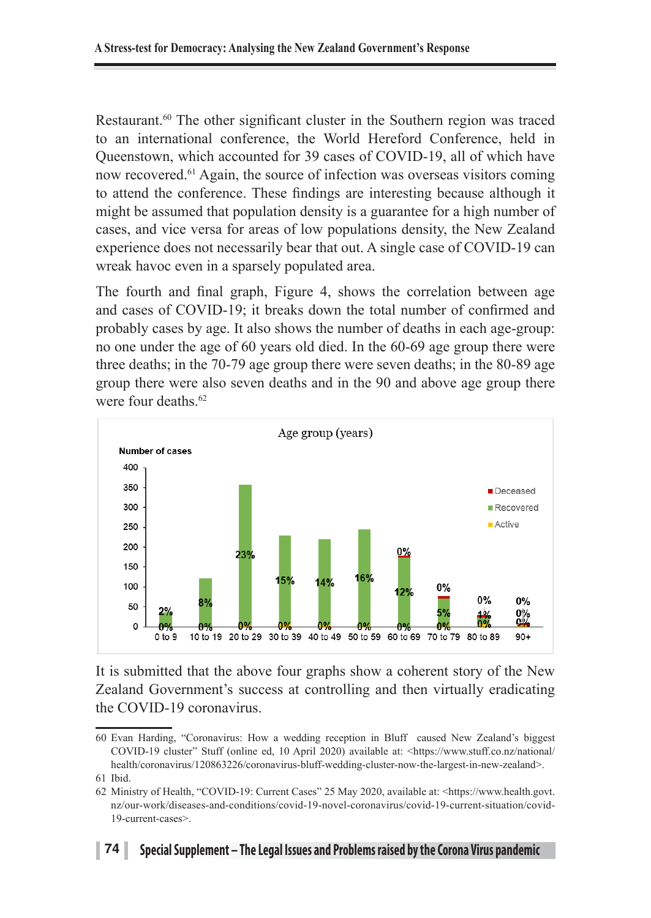Restaurant.<sup>60</sup> The other significant cluster in the Southern region was traced to an international conference, the World Hereford Conference, held in Queenstown, which accounted for 39 cases of COVID-19, all of which have now recovered.61 Again, the source of infection was overseas visitors coming to attend the conference. These findings are interesting because although it might be assumed that population density is a guarantee for a high number of cases, and vice versa for areas of low populations density, the New Zealand experience does not necessarily bear that out. A single case of COVID-19 can wreak havoc even in a sparsely populated area.

The fourth and final graph, Figure 4, shows the correlation between age and cases of COVID-19; it breaks down the total number of confirmed and probably cases by age. It also shows the number of deaths in each age-group: no one under the age of 60 years old died. In the 60-69 age group there were three deaths; in the 70-79 age group there were seven deaths; in the 80-89 age group there were also seven deaths and in the 90 and above age group there were four deaths  $62$ 



It is submitted that the above four graphs show a coherent story of the New Zealand Government's success at controlling and then virtually eradicating the COVID-19 coronavirus.

<sup>60</sup> Evan Harding, "Coronavirus: How a wedding reception in Bluff caused New Zealand's biggest COVID-19 cluster" Stuff (online ed, 10 April 2020) available at: <https://www.stuff.co.nz/national/ health/coronavirus/120863226/coronavirus-bluff-wedding-cluster-now-the-largest-in-new-zealand>.

<sup>61</sup> Ibid.

<sup>62</sup> Ministry of Health, "COVID-19: Current Cases" 25 May 2020, available at: <https://www.health.govt. nz/our-work/diseases-and-conditions/covid-19-novel-coronavirus/covid-19-current-situation/covid-19-current-cases>.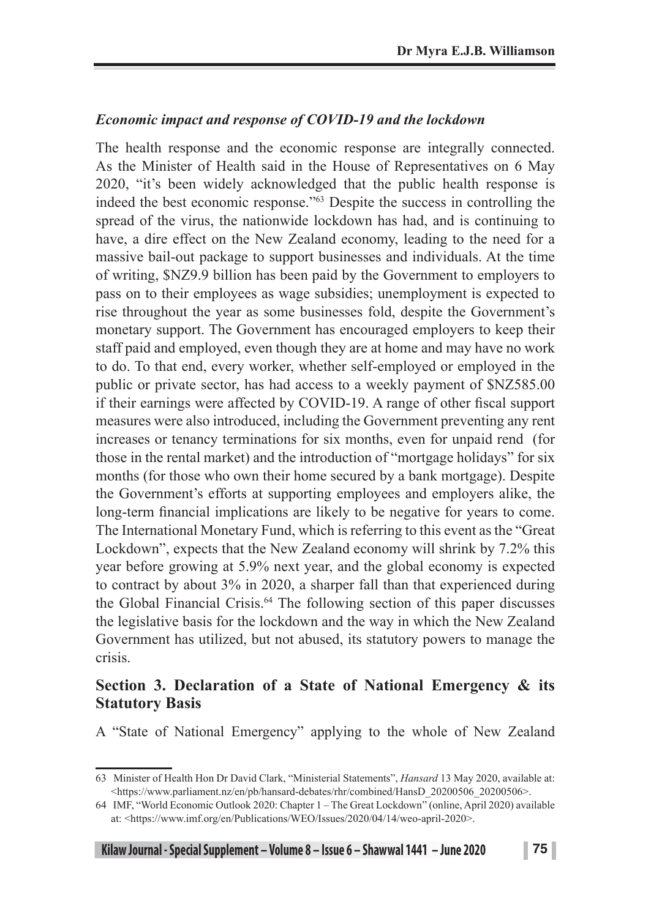#### *Economic impact and response of COVID-19 and the lockdown*

The health response and the economic response are integrally connected. As the Minister of Health said in the House of Representatives on 6 May 2020, "it's been widely acknowledged that the public health response is indeed the best economic response."63 Despite the success in controlling the spread of the virus, the nationwide lockdown has had, and is continuing to have, a dire effect on the New Zealand economy, leading to the need for a massive bail-out package to support businesses and individuals. At the time of writing, \$NZ9.9 billion has been paid by the Government to employers to pass on to their employees as wage subsidies; unemployment is expected to rise throughout the year as some businesses fold, despite the Government's monetary support. The Government has encouraged employers to keep their staff paid and employed, even though they are at home and may have no work to do. To that end, every worker, whether self-employed or employed in the public or private sector, has had access to a weekly payment of \$NZ585.00 if their earnings were affected by COVID-19. A range of other fiscal support measures were also introduced, including the Government preventing any rent increases or tenancy terminations for six months, even for unpaid rend (for those in the rental market) and the introduction of "mortgage holidays" for six months (for those who own their home secured by a bank mortgage). Despite the Government's efforts at supporting employees and employers alike, the long-term financial implications are likely to be negative for years to come. The International Monetary Fund, which is referring to this event as the "Great Lockdown", expects that the New Zealand economy will shrink by 7.2% this year before growing at 5.9% next year, and the global economy is expected to contract by about 3% in 2020, a sharper fall than that experienced during the Global Financial Crisis.<sup>64</sup> The following section of this paper discusses the legislative basis for the lockdown and the way in which the New Zealand Government has utilized, but not abused, its statutory powers to manage the crisis.

#### **Section 3. Declaration of a State of National Emergency & its Statutory Basis**

A "State of National Emergency" applying to the whole of New Zealand

<sup>63</sup> Minister of Health Hon Dr David Clark, "Ministerial Statements", *Hansard* 13 May 2020, available at: <https://www.parliament.nz/en/pb/hansard-debates/rhr/combined/HansD\_20200506\_20200506>.

<sup>64</sup> IMF, "World Economic Outlook 2020: Chapter 1 – The Great Lockdown" (online, April 2020) available at: <https://www.imf.org/en/Publications/WEO/Issues/2020/04/14/weo-april-2020>.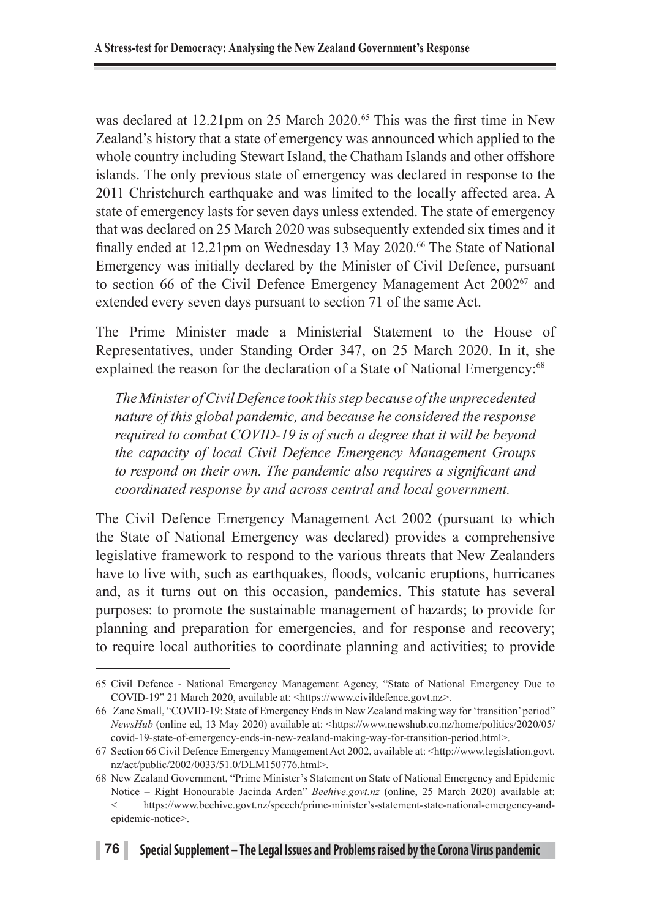was declared at 12.21pm on 25 March 2020.<sup>65</sup> This was the first time in New Zealand's history that a state of emergency was announced which applied to the whole country including Stewart Island, the Chatham Islands and other offshore islands. The only previous state of emergency was declared in response to the 2011 Christchurch earthquake and was limited to the locally affected area. A state of emergency lasts for seven days unless extended. The state of emergency that was declared on 25 March 2020 was subsequently extended six times and it finally ended at 12.21pm on Wednesday 13 May 2020.<sup>66</sup> The State of National Emergency was initially declared by the Minister of Civil Defence, pursuant to section 66 of the Civil Defence Emergency Management Act 200267 and extended every seven days pursuant to section 71 of the same Act.

The Prime Minister made a Ministerial Statement to the House of Representatives, under Standing Order 347, on 25 March 2020. In it, she explained the reason for the declaration of a State of National Emergency:<sup>68</sup>

*The Minister of Civil Defence took this step because of the unprecedented nature of this global pandemic, and because he considered the response required to combat COVID-19 is of such a degree that it will be beyond the capacity of local Civil Defence Emergency Management Groups to respond on their own. The pandemic also requires a significant and coordinated response by and across central and local government.*

The Civil Defence Emergency Management Act 2002 (pursuant to which the State of National Emergency was declared) provides a comprehensive legislative framework to respond to the various threats that New Zealanders have to live with, such as earthquakes, floods, volcanic eruptions, hurricanes and, as it turns out on this occasion, pandemics. This statute has several purposes: to promote the sustainable management of hazards; to provide for planning and preparation for emergencies, and for response and recovery; to require local authorities to coordinate planning and activities; to provide

<sup>65</sup> Civil Defence - National Emergency Management Agency, "State of National Emergency Due to COVID-19" 21 March 2020, available at: <https://www.civildefence.govt.nz>.

<sup>66</sup> Zane Small, "COVID-19: State of Emergency Ends in New Zealand making way for 'transition' period" *NewsHub* (online ed, 13 May 2020) available at: <https://www.newshub.co.nz/home/politics/2020/05/ covid-19-state-of-emergency-ends-in-new-zealand-making-way-for-transition-period.html>.

<sup>67</sup> Section 66 Civil Defence Emergency Management Act 2002, available at: <http://www.legislation.govt. nz/act/public/2002/0033/51.0/DLM150776.html>.

<sup>68</sup> New Zealand Government, "Prime Minister's Statement on State of National Emergency and Epidemic Notice – Right Honourable Jacinda Arden" *Beehive.govt.nz* (online, 25 March 2020) available at: https://www.beehive.govt.nz/speech/prime-minister's-statement-state-national-emergency-andepidemic-notice>.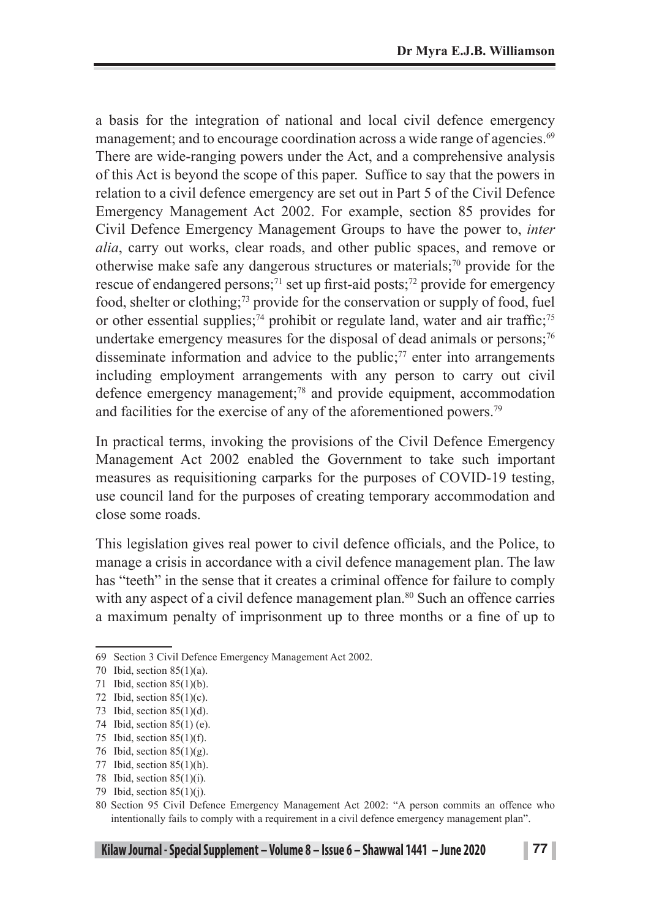a basis for the integration of national and local civil defence emergency management; and to encourage coordination across a wide range of agencies.<sup>69</sup> There are wide-ranging powers under the Act, and a comprehensive analysis of this Act is beyond the scope of this paper. Suffice to say that the powers in relation to a civil defence emergency are set out in Part 5 of the Civil Defence Emergency Management Act 2002. For example, section 85 provides for Civil Defence Emergency Management Groups to have the power to, *inter alia*, carry out works, clear roads, and other public spaces, and remove or otherwise make safe any dangerous structures or materials;<sup>70</sup> provide for the rescue of endangered persons;<sup>71</sup> set up first-aid posts;<sup>72</sup> provide for emergency food, shelter or clothing;73 provide for the conservation or supply of food, fuel or other essential supplies;<sup>74</sup> prohibit or regulate land, water and air traffic;<sup>75</sup> undertake emergency measures for the disposal of dead animals or persons;<sup>76</sup> disseminate information and advice to the public; $\frac{7}{7}$  enter into arrangements including employment arrangements with any person to carry out civil defence emergency management;78 and provide equipment, accommodation and facilities for the exercise of any of the aforementioned powers.79

In practical terms, invoking the provisions of the Civil Defence Emergency Management Act 2002 enabled the Government to take such important measures as requisitioning carparks for the purposes of COVID-19 testing, use council land for the purposes of creating temporary accommodation and close some roads.

This legislation gives real power to civil defence officials, and the Police, to manage a crisis in accordance with a civil defence management plan. The law has "teeth" in the sense that it creates a criminal offence for failure to comply with any aspect of a civil defence management plan.<sup>80</sup> Such an offence carries a maximum penalty of imprisonment up to three months or a fine of up to

<sup>69</sup> Section 3 Civil Defence Emergency Management Act 2002.

<sup>70</sup> Ibid, section 85(1)(a).

<sup>71</sup> Ibid, section 85(1)(b).

<sup>72</sup> Ibid, section 85(1)(c).

<sup>73</sup> Ibid, section 85(1)(d).

<sup>74</sup> Ibid, section 85(1) (e).

<sup>75</sup> Ibid, section 85(1)(f).

<sup>76</sup> Ibid, section 85(1)(g).

<sup>77</sup> Ibid, section 85(1)(h).

<sup>78</sup> Ibid, section 85(1)(i).

<sup>79</sup> Ibid, section 85(1)(j).

<sup>80</sup> Section 95 Civil Defence Emergency Management Act 2002: "A person commits an offence who intentionally fails to comply with a requirement in a civil defence emergency management plan".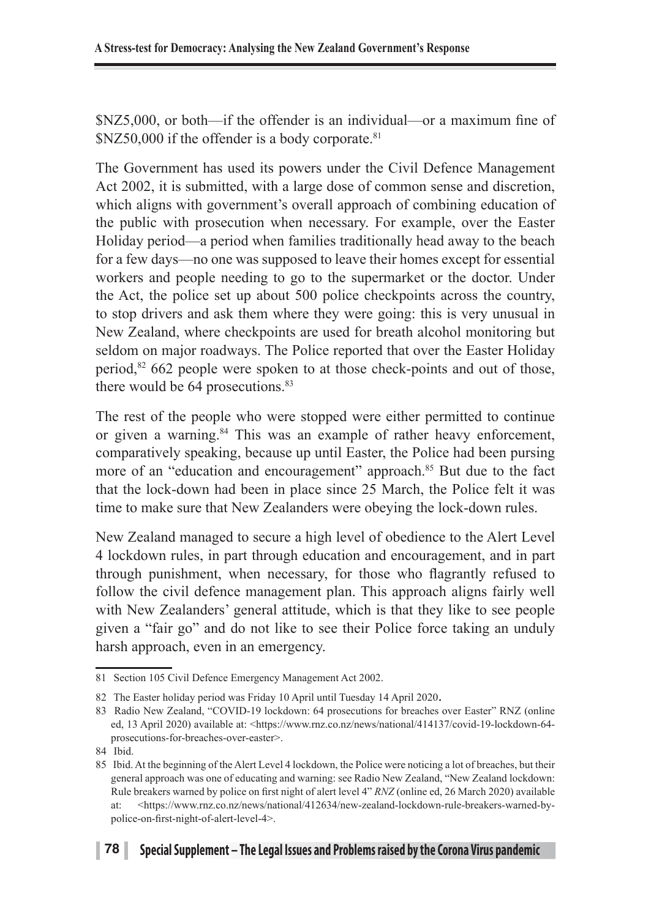\$NZ5,000, or both—if the offender is an individual—or a maximum fine of  $NZ50,000$  if the offender is a body corporate.<sup>81</sup>

The Government has used its powers under the Civil Defence Management Act 2002, it is submitted, with a large dose of common sense and discretion, which aligns with government's overall approach of combining education of the public with prosecution when necessary. For example, over the Easter Holiday period—a period when families traditionally head away to the beach for a few days—no one was supposed to leave their homes except for essential workers and people needing to go to the supermarket or the doctor. Under the Act, the police set up about 500 police checkpoints across the country, to stop drivers and ask them where they were going: this is very unusual in New Zealand, where checkpoints are used for breath alcohol monitoring but seldom on major roadways. The Police reported that over the Easter Holiday period,82 662 people were spoken to at those check-points and out of those, there would be  $64$  prosecutions. $83$ 

The rest of the people who were stopped were either permitted to continue or given a warning.84 This was an example of rather heavy enforcement, comparatively speaking, because up until Easter, the Police had been pursing more of an "education and encouragement" approach.<sup>85</sup> But due to the fact that the lock-down had been in place since 25 March, the Police felt it was time to make sure that New Zealanders were obeying the lock-down rules.

New Zealand managed to secure a high level of obedience to the Alert Level 4 lockdown rules, in part through education and encouragement, and in part through punishment, when necessary, for those who flagrantly refused to follow the civil defence management plan. This approach aligns fairly well with New Zealanders' general attitude, which is that they like to see people given a "fair go" and do not like to see their Police force taking an unduly harsh approach, even in an emergency.

<sup>81</sup> Section 105 Civil Defence Emergency Management Act 2002.

<sup>82</sup> The Easter holiday period was Friday 10 April until Tuesday 14 April 2020.

<sup>83</sup> Radio New Zealand, "COVID-19 lockdown: 64 prosecutions for breaches over Easter" RNZ (online ed, 13 April 2020) available at: <https://www.rnz.co.nz/news/national/414137/covid-19-lockdown-64 prosecutions-for-breaches-over-easter>.

<sup>84</sup> Ibid.

<sup>85</sup> Ibid. At the beginning of the Alert Level 4 lockdown, the Police were noticing a lot of breaches, but their general approach was one of educating and warning: see Radio New Zealand, "New Zealand lockdown: Rule breakers warned by police on first night of alert level 4" *RNZ* (online ed, 26 March 2020) available at: <https://www.rnz.co.nz/news/national/412634/new-zealand-lockdown-rule-breakers-warned-bypolice-on-first-night-of-alert-level-4>.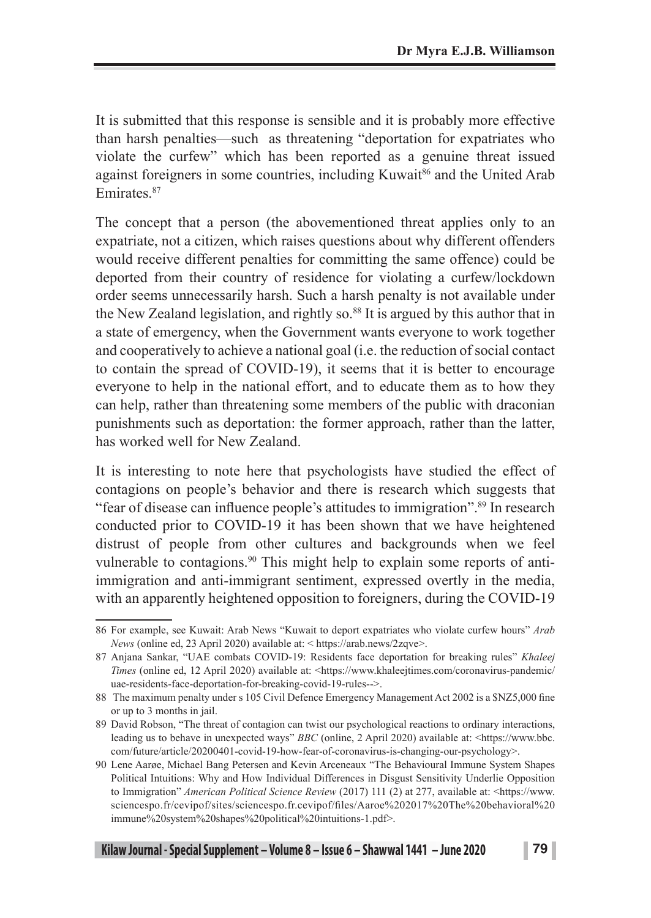It is submitted that this response is sensible and it is probably more effective than harsh penalties—such as threatening "deportation for expatriates who violate the curfew" which has been reported as a genuine threat issued against foreigners in some countries, including Kuwait<sup>86</sup> and the United Arab Emirates<sup>87</sup>

The concept that a person (the abovementioned threat applies only to an expatriate, not a citizen, which raises questions about why different offenders would receive different penalties for committing the same offence) could be deported from their country of residence for violating a curfew/lockdown order seems unnecessarily harsh. Such a harsh penalty is not available under the New Zealand legislation, and rightly so.<sup>88</sup> It is argued by this author that in a state of emergency, when the Government wants everyone to work together and cooperatively to achieve a national goal (i.e. the reduction of social contact to contain the spread of COVID-19), it seems that it is better to encourage everyone to help in the national effort, and to educate them as to how they can help, rather than threatening some members of the public with draconian punishments such as deportation: the former approach, rather than the latter, has worked well for New Zealand.

It is interesting to note here that psychologists have studied the effect of contagions on people's behavior and there is research which suggests that "fear of disease can influence people's attitudes to immigration".89 In research conducted prior to COVID-19 it has been shown that we have heightened distrust of people from other cultures and backgrounds when we feel vulnerable to contagions.<sup>90</sup> This might help to explain some reports of antiimmigration and anti-immigrant sentiment, expressed overtly in the media, with an apparently heightened opposition to foreigners, during the COVID-19

<sup>86</sup> For example, see Kuwait: Arab News "Kuwait to deport expatriates who violate curfew hours" *Arab News* (online ed, 23 April 2020) available at: < https://arab.news/2zqve>.

<sup>87</sup> Anjana Sankar, "UAE combats COVID-19: Residents face deportation for breaking rules" *Khaleej Times* (online ed, 12 April 2020) available at: <https://www.khaleejtimes.com/coronavirus-pandemic/ uae-residents-face-deportation-for-breaking-covid-19-rules-->.

<sup>88</sup> The maximum penalty under s 105 Civil Defence Emergency Management Act 2002 is a \$NZ5,000 fine or up to 3 months in jail.

<sup>89</sup> David Robson, "The threat of contagion can twist our psychological reactions to ordinary interactions, leading us to behave in unexpected ways" *BBC* (online, 2 April 2020) available at: <https://www.bbc. com/future/article/20200401-covid-19-how-fear-of-coronavirus-is-changing-our-psychology>.

<sup>90</sup> Lene Aarøe, Michael Bang Petersen and Kevin Arceneaux "The Behavioural Immune System Shapes Political Intuitions: Why and How Individual Differences in Disgust Sensitivity Underlie Opposition to Immigration" *American Political Science Review* (2017) 111 (2) at 277, available at: <https://www. sciencespo.fr/cevipof/sites/sciencespo.fr.cevipof/files/Aaroe%202017%20The%20behavioral%20 immune%20system%20shapes%20political%20intuitions-1.pdf>.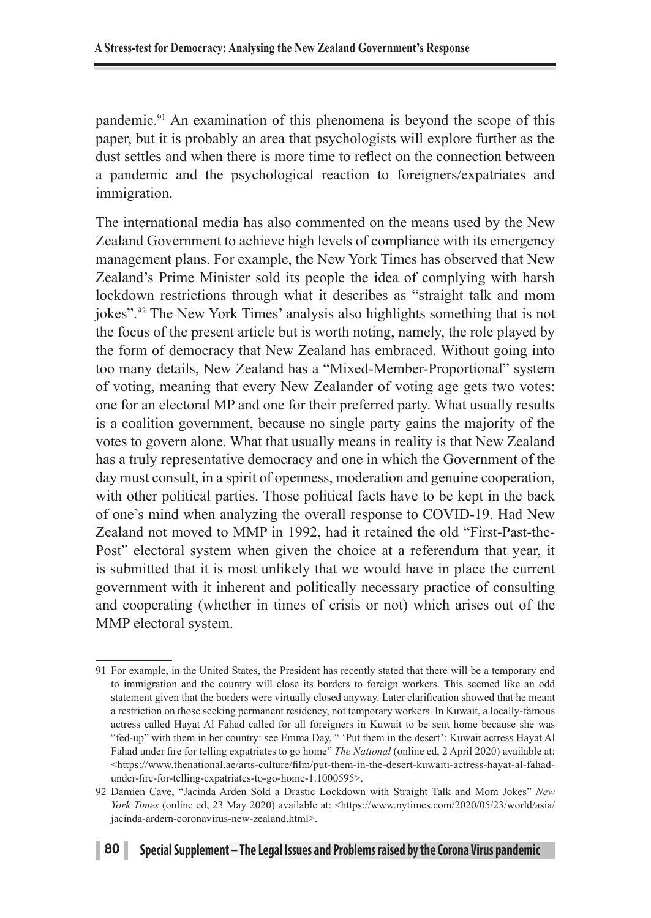pandemic.91 An examination of this phenomena is beyond the scope of this paper, but it is probably an area that psychologists will explore further as the dust settles and when there is more time to reflect on the connection between a pandemic and the psychological reaction to foreigners/expatriates and immigration.

The international media has also commented on the means used by the New Zealand Government to achieve high levels of compliance with its emergency management plans. For example, the New York Times has observed that New Zealand's Prime Minister sold its people the idea of complying with harsh lockdown restrictions through what it describes as "straight talk and mom jokes".92 The New York Times' analysis also highlights something that is not the focus of the present article but is worth noting, namely, the role played by the form of democracy that New Zealand has embraced. Without going into too many details, New Zealand has a "Mixed-Member-Proportional" system of voting, meaning that every New Zealander of voting age gets two votes: one for an electoral MP and one for their preferred party. What usually results is a coalition government, because no single party gains the majority of the votes to govern alone. What that usually means in reality is that New Zealand has a truly representative democracy and one in which the Government of the day must consult, in a spirit of openness, moderation and genuine cooperation, with other political parties. Those political facts have to be kept in the back of one's mind when analyzing the overall response to COVID-19. Had New Zealand not moved to MMP in 1992, had it retained the old "First-Past-the-Post" electoral system when given the choice at a referendum that year, it is submitted that it is most unlikely that we would have in place the current government with it inherent and politically necessary practice of consulting and cooperating (whether in times of crisis or not) which arises out of the MMP electoral system.

<sup>91</sup> For example, in the United States, the President has recently stated that there will be a temporary end to immigration and the country will close its borders to foreign workers. This seemed like an odd statement given that the borders were virtually closed anyway. Later clarification showed that he meant a restriction on those seeking permanent residency, not temporary workers. In Kuwait, a locally-famous actress called Hayat Al Fahad called for all foreigners in Kuwait to be sent home because she was "fed-up" with them in her country: see Emma Day, " 'Put them in the desert': Kuwait actress Hayat Al Fahad under fire for telling expatriates to go home" *The National* (online ed, 2 April 2020) available at: <https://www.thenational.ae/arts-culture/film/put-them-in-the-desert-kuwaiti-actress-hayat-al-fahadunder-fire-for-telling-expatriates-to-go-home-1.1000595>.

<sup>92</sup> Damien Cave, "Jacinda Arden Sold a Drastic Lockdown with Straight Talk and Mom Jokes" *New York Times* (online ed, 23 May 2020) available at: <https://www.nytimes.com/2020/05/23/world/asia/ jacinda-ardern-coronavirus-new-zealand.html>.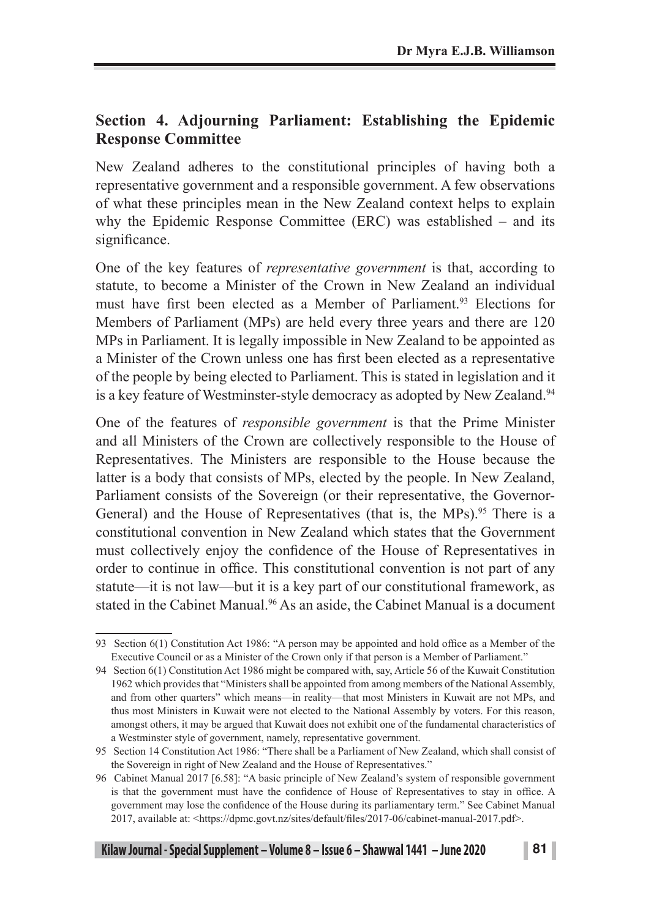### **Section 4. Adjourning Parliament: Establishing the Epidemic Response Committee**

New Zealand adheres to the constitutional principles of having both a representative government and a responsible government. A few observations of what these principles mean in the New Zealand context helps to explain why the Epidemic Response Committee (ERC) was established – and its significance.

One of the key features of *representative government* is that, according to statute, to become a Minister of the Crown in New Zealand an individual must have first been elected as a Member of Parliament<sup>93</sup> Elections for Members of Parliament (MPs) are held every three years and there are 120 MPs in Parliament. It is legally impossible in New Zealand to be appointed as a Minister of the Crown unless one has first been elected as a representative of the people by being elected to Parliament. This is stated in legislation and it is a key feature of Westminster-style democracy as adopted by New Zealand.<sup>94</sup>

One of the features of *responsible government* is that the Prime Minister and all Ministers of the Crown are collectively responsible to the House of Representatives. The Ministers are responsible to the House because the latter is a body that consists of MPs, elected by the people. In New Zealand, Parliament consists of the Sovereign (or their representative, the Governor-General) and the House of Representatives (that is, the MPs).<sup>95</sup> There is a constitutional convention in New Zealand which states that the Government must collectively enjoy the confidence of the House of Representatives in order to continue in office. This constitutional convention is not part of any statute—it is not law—but it is a key part of our constitutional framework, as stated in the Cabinet Manual.<sup>96</sup> As an aside, the Cabinet Manual is a document

<sup>93</sup> Section 6(1) Constitution Act 1986: "A person may be appointed and hold office as a Member of the Executive Council or as a Minister of the Crown only if that person is a Member of Parliament."

<sup>94</sup> Section 6(1) Constitution Act 1986 might be compared with, say, Article 56 of the Kuwait Constitution 1962 which provides that "Ministers shall be appointed from among members of the National Assembly, and from other quarters" which means—in reality—that most Ministers in Kuwait are not MPs, and thus most Ministers in Kuwait were not elected to the National Assembly by voters. For this reason, amongst others, it may be argued that Kuwait does not exhibit one of the fundamental characteristics of a Westminster style of government, namely, representative government.

<sup>95</sup> Section 14 Constitution Act 1986: "There shall be a Parliament of New Zealand, which shall consist of the Sovereign in right of New Zealand and the House of Representatives."

<sup>96</sup> Cabinet Manual 2017 [6.58]: "A basic principle of New Zealand's system of responsible government is that the government must have the confidence of House of Representatives to stay in office. A government may lose the confidence of the House during its parliamentary term." See Cabinet Manual 2017, available at: <https://dpmc.govt.nz/sites/default/files/2017-06/cabinet-manual-2017.pdf>.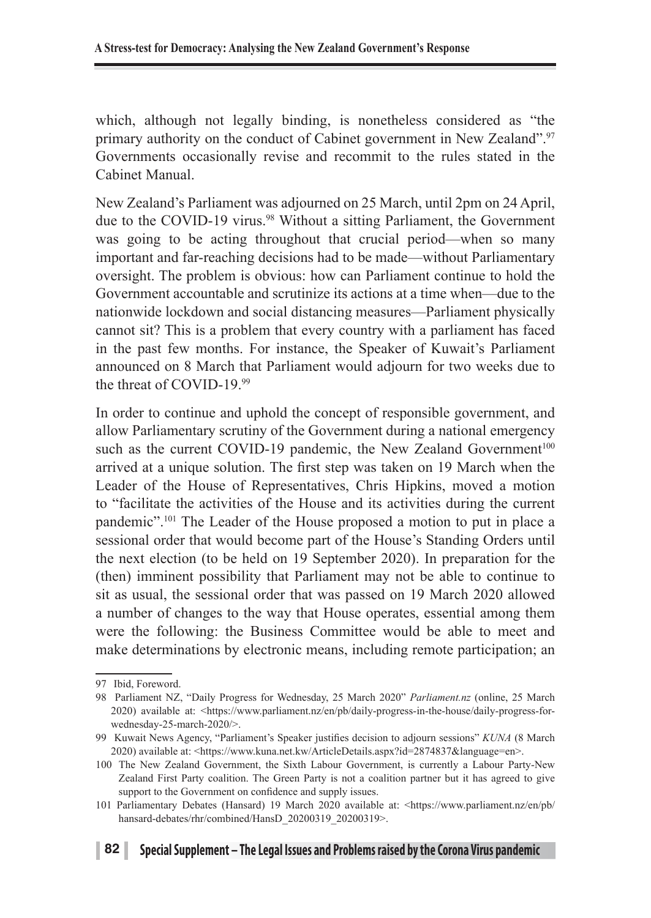which, although not legally binding, is nonetheless considered as "the primary authority on the conduct of Cabinet government in New Zealand".<sup>97</sup> Governments occasionally revise and recommit to the rules stated in the Cabinet Manual.

New Zealand's Parliament was adjourned on 25 March, until 2pm on 24 April, due to the COVID-19 virus.<sup>98</sup> Without a sitting Parliament, the Government was going to be acting throughout that crucial period—when so many important and far-reaching decisions had to be made—without Parliamentary oversight. The problem is obvious: how can Parliament continue to hold the Government accountable and scrutinize its actions at a time when—due to the nationwide lockdown and social distancing measures—Parliament physically cannot sit? This is a problem that every country with a parliament has faced in the past few months. For instance, the Speaker of Kuwait's Parliament announced on 8 March that Parliament would adjourn for two weeks due to the threat of COVID-19.99

In order to continue and uphold the concept of responsible government, and allow Parliamentary scrutiny of the Government during a national emergency such as the current COVID-19 pandemic, the New Zealand Government<sup>100</sup> arrived at a unique solution. The first step was taken on 19 March when the Leader of the House of Representatives, Chris Hipkins, moved a motion to "facilitate the activities of the House and its activities during the current pandemic".101 The Leader of the House proposed a motion to put in place a sessional order that would become part of the House's Standing Orders until the next election (to be held on 19 September 2020). In preparation for the (then) imminent possibility that Parliament may not be able to continue to sit as usual, the sessional order that was passed on 19 March 2020 allowed a number of changes to the way that House operates, essential among them were the following: the Business Committee would be able to meet and make determinations by electronic means, including remote participation; an

<sup>97</sup> Ibid, Foreword.

<sup>98</sup> Parliament NZ, "Daily Progress for Wednesday, 25 March 2020" *Parliament.nz* (online, 25 March 2020) available at: <https://www.parliament.nz/en/pb/daily-progress-in-the-house/daily-progress-forwednesday-25-march-2020/>.

<sup>99</sup> Kuwait News Agency, "Parliament's Speaker justifies decision to adjourn sessions" *KUNA* (8 March 2020) available at: <https://www.kuna.net.kw/ArticleDetails.aspx?id=2874837&language=en>.

<sup>100</sup> The New Zealand Government, the Sixth Labour Government, is currently a Labour Party-New Zealand First Party coalition. The Green Party is not a coalition partner but it has agreed to give support to the Government on confidence and supply issues.

<sup>101</sup> Parliamentary Debates (Hansard) 19 March 2020 available at: <https://www.parliament.nz/en/pb/ hansard-debates/rhr/combined/HansD\_20200319\_20200319>.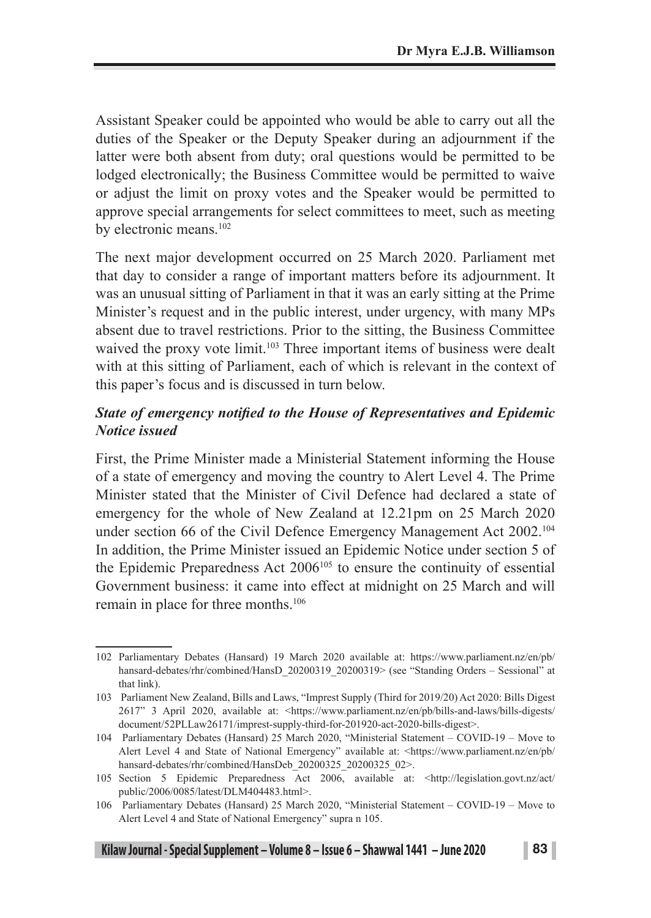Assistant Speaker could be appointed who would be able to carry out all the duties of the Speaker or the Deputy Speaker during an adjournment if the latter were both absent from duty; oral questions would be permitted to be lodged electronically; the Business Committee would be permitted to waive or adjust the limit on proxy votes and the Speaker would be permitted to approve special arrangements for select committees to meet, such as meeting by electronic means.<sup>102</sup>

The next major development occurred on 25 March 2020. Parliament met that day to consider a range of important matters before its adjournment. It was an unusual sitting of Parliament in that it was an early sitting at the Prime Minister's request and in the public interest, under urgency, with many MPs absent due to travel restrictions. Prior to the sitting, the Business Committee waived the proxy vote limit.<sup>103</sup> Three important items of business were dealt with at this sitting of Parliament, each of which is relevant in the context of this paper's focus and is discussed in turn below.

### *State of emergency notified to the House of Representatives and Epidemic Notice issued*

First, the Prime Minister made a Ministerial Statement informing the House of a state of emergency and moving the country to Alert Level 4. The Prime Minister stated that the Minister of Civil Defence had declared a state of emergency for the whole of New Zealand at 12.21pm on 25 March 2020 under section 66 of the Civil Defence Emergency Management Act 2002.<sup>104</sup> In addition, the Prime Minister issued an Epidemic Notice under section 5 of the Epidemic Preparedness Act 2006105 to ensure the continuity of essential Government business: it came into effect at midnight on 25 March and will remain in place for three months.106

<sup>102</sup> Parliamentary Debates (Hansard) 19 March 2020 available at: https://www.parliament.nz/en/pb/ hansard-debates/rhr/combined/HansD\_20200319\_20200319> (see "Standing Orders – Sessional" at that link).

<sup>103</sup> Parliament New Zealand, Bills and Laws, "Imprest Supply (Third for 2019/20) Act 2020: Bills Digest 2617" 3 April 2020, available at: <https://www.parliament.nz/en/pb/bills-and-laws/bills-digests/ document/52PLLaw26171/imprest-supply-third-for-201920-act-2020-bills-digest>.

<sup>104</sup> Parliamentary Debates (Hansard) 25 March 2020, "Ministerial Statement – COVID-19 – Move to Alert Level 4 and State of National Emergency" available at: <https://www.parliament.nz/en/pb/ hansard-debates/rhr/combined/HansDeb\_20200325\_20200325\_02>.

<sup>105</sup> Section 5 Epidemic Preparedness Act 2006, available at: <http://legislation.govt.nz/act/ public/2006/0085/latest/DLM404483.html>.

<sup>106</sup> Parliamentary Debates (Hansard) 25 March 2020, "Ministerial Statement – COVID-19 – Move to Alert Level 4 and State of National Emergency" supra n 105.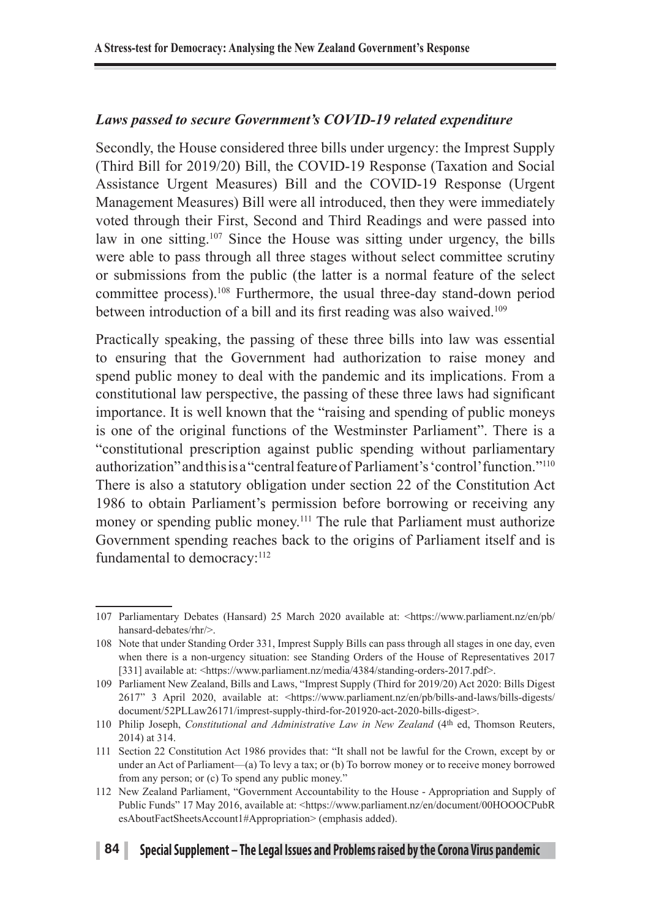### *Laws passed to secure Government's COVID-19 related expenditure*

Secondly, the House considered three bills under urgency: the Imprest Supply (Third Bill for 2019/20) Bill, the COVID-19 Response (Taxation and Social Assistance Urgent Measures) Bill and the COVID-19 Response (Urgent Management Measures) Bill were all introduced, then they were immediately voted through their First, Second and Third Readings and were passed into law in one sitting.<sup>107</sup> Since the House was sitting under urgency, the bills were able to pass through all three stages without select committee scrutiny or submissions from the public (the latter is a normal feature of the select committee process).108 Furthermore, the usual three-day stand-down period between introduction of a bill and its first reading was also waived.<sup>109</sup>

Practically speaking, the passing of these three bills into law was essential to ensuring that the Government had authorization to raise money and spend public money to deal with the pandemic and its implications. From a constitutional law perspective, the passing of these three laws had significant importance. It is well known that the "raising and spending of public moneys is one of the original functions of the Westminster Parliament". There is a "constitutional prescription against public spending without parliamentary authorization" and this is a "central feature of Parliament's 'control' function."110 There is also a statutory obligation under section 22 of the Constitution Act 1986 to obtain Parliament's permission before borrowing or receiving any money or spending public money.<sup>111</sup> The rule that Parliament must authorize Government spending reaches back to the origins of Parliament itself and is fundamental to democracy:<sup>112</sup>

<sup>107</sup> Parliamentary Debates (Hansard) 25 March 2020 available at: <https://www.parliament.nz/en/pb/ hansard-debates/rhr/>.

<sup>108</sup> Note that under Standing Order 331, Imprest Supply Bills can pass through all stages in one day, even when there is a non-urgency situation: see Standing Orders of the House of Representatives 2017 [331] available at: <https://www.parliament.nz/media/4384/standing-orders-2017.pdf>.

<sup>109</sup> Parliament New Zealand, Bills and Laws, "Imprest Supply (Third for 2019/20) Act 2020: Bills Digest 2617" 3 April 2020, available at: <https://www.parliament.nz/en/pb/bills-and-laws/bills-digests/ document/52PLLaw26171/imprest-supply-third-for-201920-act-2020-bills-digest>.

<sup>110</sup> Philip Joseph, *Constitutional and Administrative Law in New Zealand* (4th ed, Thomson Reuters, 2014) at 314.

<sup>111</sup> Section 22 Constitution Act 1986 provides that: "It shall not be lawful for the Crown, except by or under an Act of Parliament—(a) To levy a tax; or (b) To borrow money or to receive money borrowed from any person; or (c) To spend any public money."

<sup>112</sup> New Zealand Parliament, "Government Accountability to the House - Appropriation and Supply of Public Funds" 17 May 2016, available at: <https://www.parliament.nz/en/document/00HOOOCPubR esAboutFactSheetsAccount1#Appropriation> (emphasis added).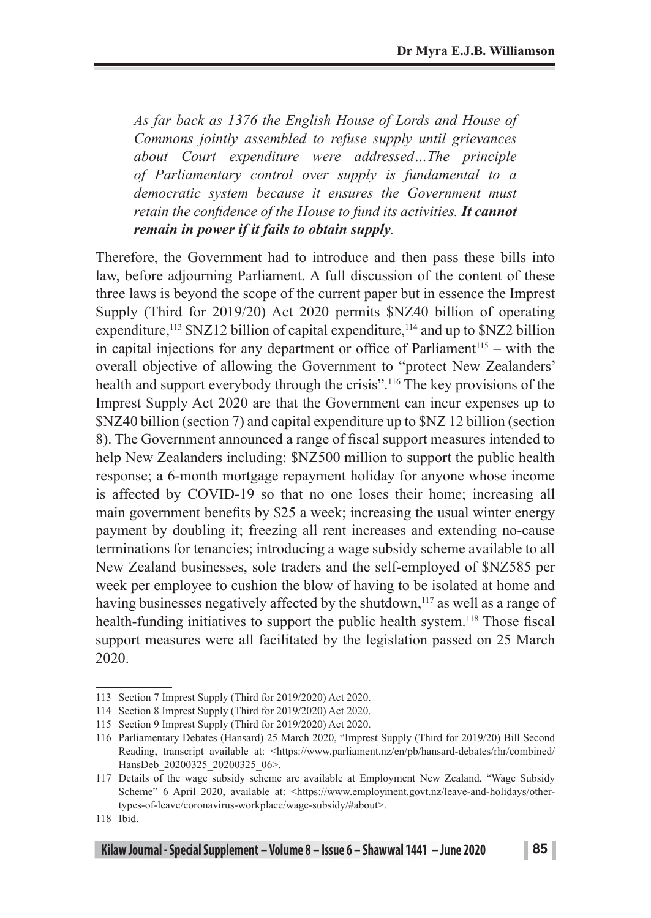*As far back as 1376 the English House of Lords and House of Commons jointly assembled to refuse supply until grievances about Court expenditure were addressed…The principle of Parliamentary control over supply is fundamental to a democratic system because it ensures the Government must retain the confidence of the House to fund its activities. It cannot remain in power if it fails to obtain supply.* 

Therefore, the Government had to introduce and then pass these bills into law, before adjourning Parliament. A full discussion of the content of these three laws is beyond the scope of the current paper but in essence the Imprest Supply (Third for 2019/20) Act 2020 permits \$NZ40 billion of operating expenditure,<sup>113</sup> \$NZ12 billion of capital expenditure,<sup>114</sup> and up to \$NZ2 billion in capital injections for any department or office of Parliament<sup>115</sup> – with the overall objective of allowing the Government to "protect New Zealanders' health and support everybody through the crisis".116 The key provisions of the Imprest Supply Act 2020 are that the Government can incur expenses up to \$NZ40 billion (section 7) and capital expenditure up to \$NZ 12 billion (section 8). The Government announced a range of fiscal support measures intended to help New Zealanders including: \$NZ500 million to support the public health response; a 6-month mortgage repayment holiday for anyone whose income is affected by COVID-19 so that no one loses their home; increasing all main government benefits by \$25 a week; increasing the usual winter energy payment by doubling it; freezing all rent increases and extending no-cause terminations for tenancies; introducing a wage subsidy scheme available to all New Zealand businesses, sole traders and the self-employed of \$NZ585 per week per employee to cushion the blow of having to be isolated at home and having businesses negatively affected by the shutdown,<sup>117</sup> as well as a range of health-funding initiatives to support the public health system.<sup>118</sup> Those fiscal support measures were all facilitated by the legislation passed on 25 March 2020.

<sup>113</sup> Section 7 Imprest Supply (Third for 2019/2020) Act 2020.

<sup>114</sup> Section 8 Imprest Supply (Third for 2019/2020) Act 2020.

<sup>115</sup> Section 9 Imprest Supply (Third for 2019/2020) Act 2020.

<sup>116</sup> Parliamentary Debates (Hansard) 25 March 2020, "Imprest Supply (Third for 2019/20) Bill Second Reading, transcript available at: <https://www.parliament.nz/en/pb/hansard-debates/rhr/combined/ HansDeb 20200325 20200325 06>.

<sup>117</sup> Details of the wage subsidy scheme are available at Employment New Zealand, "Wage Subsidy Scheme" 6 April 2020, available at: <https://www.employment.govt.nz/leave-and-holidays/othertypes-of-leave/coronavirus-workplace/wage-subsidy/#about>.

<sup>118</sup> Ibid.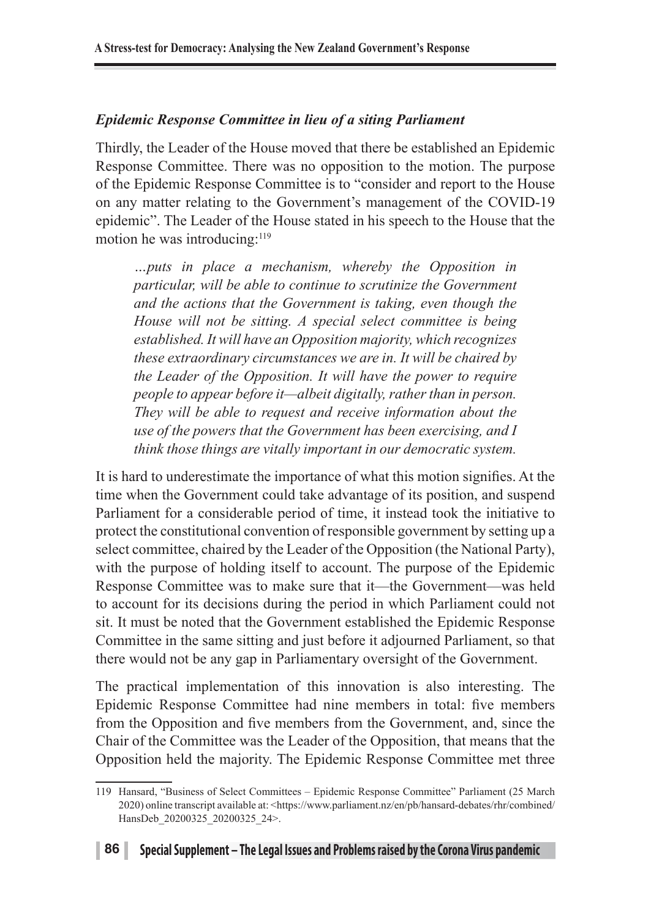### *Epidemic Response Committee in lieu of a siting Parliament*

Thirdly, the Leader of the House moved that there be established an Epidemic Response Committee. There was no opposition to the motion. The purpose of the Epidemic Response Committee is to "consider and report to the House on any matter relating to the Government's management of the COVID-19 epidemic". The Leader of the House stated in his speech to the House that the motion he was introducing:<sup>119</sup>

*…puts in place a mechanism, whereby the Opposition in particular, will be able to continue to scrutinize the Government and the actions that the Government is taking, even though the House will not be sitting. A special select committee is being established. It will have an Opposition majority, which recognizes these extraordinary circumstances we are in. It will be chaired by the Leader of the Opposition. It will have the power to require people to appear before it—albeit digitally, rather than in person. They will be able to request and receive information about the use of the powers that the Government has been exercising, and I think those things are vitally important in our democratic system.*

It is hard to underestimate the importance of what this motion signifies. At the time when the Government could take advantage of its position, and suspend Parliament for a considerable period of time, it instead took the initiative to protect the constitutional convention of responsible government by setting up a select committee, chaired by the Leader of the Opposition (the National Party), with the purpose of holding itself to account. The purpose of the Epidemic Response Committee was to make sure that it—the Government—was held to account for its decisions during the period in which Parliament could not sit. It must be noted that the Government established the Epidemic Response Committee in the same sitting and just before it adjourned Parliament, so that there would not be any gap in Parliamentary oversight of the Government.

The practical implementation of this innovation is also interesting. The Epidemic Response Committee had nine members in total: five members from the Opposition and five members from the Government, and, since the Chair of the Committee was the Leader of the Opposition, that means that the Opposition held the majority. The Epidemic Response Committee met three

<sup>119</sup> Hansard, "Business of Select Committees – Epidemic Response Committee" Parliament (25 March 2020) online transcript available at: <https://www.parliament.nz/en/pb/hansard-debates/rhr/combined/ HansDeb 20200325 20200325 24>.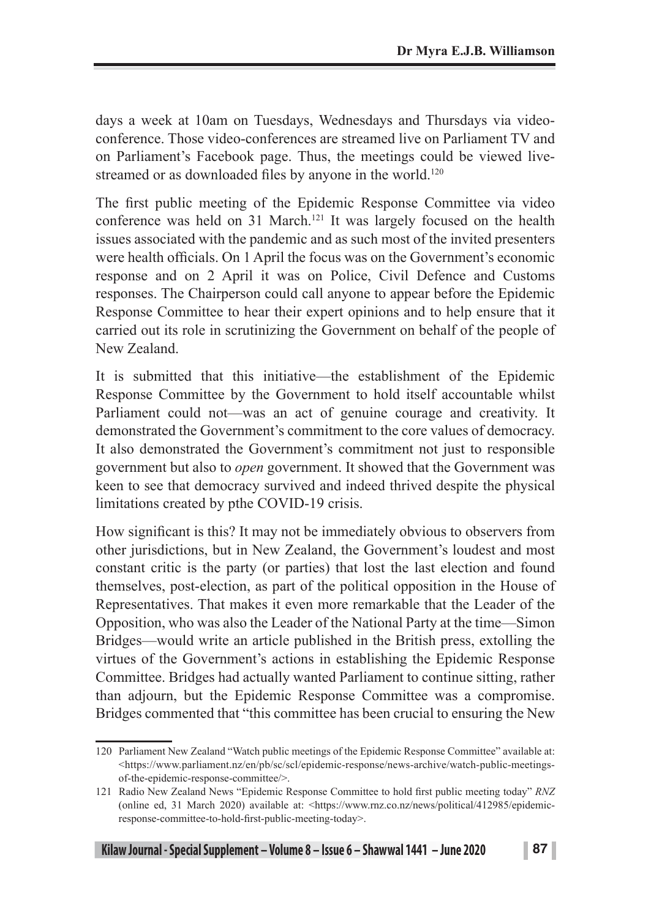days a week at 10am on Tuesdays, Wednesdays and Thursdays via videoconference. Those video-conferences are streamed live on Parliament TV and on Parliament's Facebook page. Thus, the meetings could be viewed livestreamed or as downloaded files by anyone in the world.<sup>120</sup>

The first public meeting of the Epidemic Response Committee via video conference was held on 31 March.<sup>121</sup> It was largely focused on the health issues associated with the pandemic and as such most of the invited presenters were health officials. On 1 April the focus was on the Government's economic response and on 2 April it was on Police, Civil Defence and Customs responses. The Chairperson could call anyone to appear before the Epidemic Response Committee to hear their expert opinions and to help ensure that it carried out its role in scrutinizing the Government on behalf of the people of New Zealand.

It is submitted that this initiative—the establishment of the Epidemic Response Committee by the Government to hold itself accountable whilst Parliament could not—was an act of genuine courage and creativity. It demonstrated the Government's commitment to the core values of democracy. It also demonstrated the Government's commitment not just to responsible government but also to *open* government. It showed that the Government was keen to see that democracy survived and indeed thrived despite the physical limitations created by pthe COVID-19 crisis.

How significant is this? It may not be immediately obvious to observers from other jurisdictions, but in New Zealand, the Government's loudest and most constant critic is the party (or parties) that lost the last election and found themselves, post-election, as part of the political opposition in the House of Representatives. That makes it even more remarkable that the Leader of the Opposition, who was also the Leader of the National Party at the time—Simon Bridges—would write an article published in the British press, extolling the virtues of the Government's actions in establishing the Epidemic Response Committee. Bridges had actually wanted Parliament to continue sitting, rather than adjourn, but the Epidemic Response Committee was a compromise. Bridges commented that "this committee has been crucial to ensuring the New

<sup>120</sup> Parliament New Zealand "Watch public meetings of the Epidemic Response Committee" available at: <https://www.parliament.nz/en/pb/sc/scl/epidemic-response/news-archive/watch-public-meetingsof-the-epidemic-response-committee/>.

<sup>121</sup> Radio New Zealand News "Epidemic Response Committee to hold first public meeting today" *RNZ* (online ed, 31 March 2020) available at: <https://www.rnz.co.nz/news/political/412985/epidemicresponse-committee-to-hold-first-public-meeting-today>.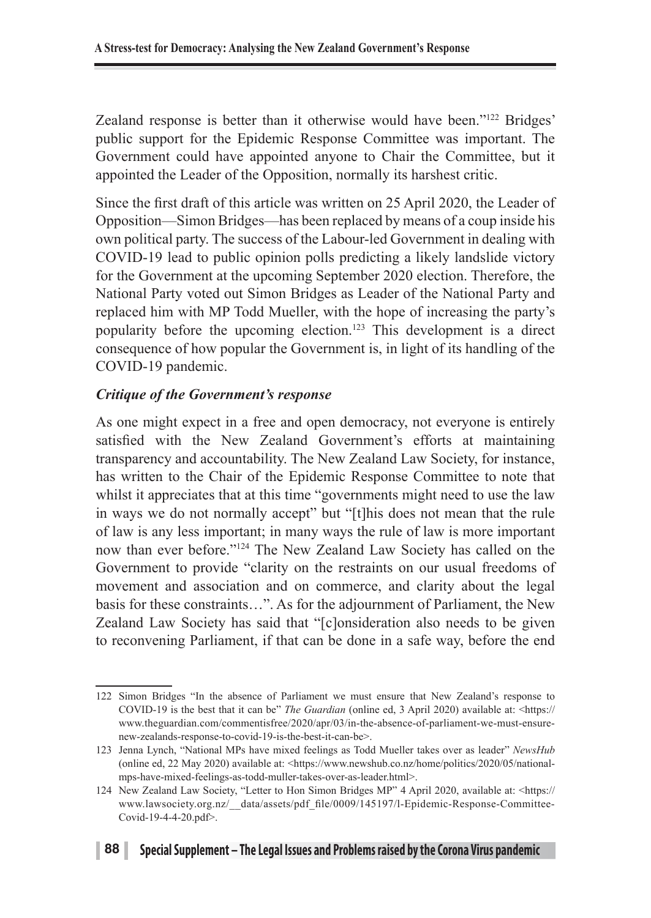Zealand response is better than it otherwise would have been."<sup>122</sup> Bridges' public support for the Epidemic Response Committee was important. The Government could have appointed anyone to Chair the Committee, but it appointed the Leader of the Opposition, normally its harshest critic.

Since the first draft of this article was written on 25 April 2020, the Leader of Opposition—Simon Bridges—has been replaced by means of a coup inside his own political party. The success of the Labour-led Government in dealing with COVID-19 lead to public opinion polls predicting a likely landslide victory for the Government at the upcoming September 2020 election. Therefore, the National Party voted out Simon Bridges as Leader of the National Party and replaced him with MP Todd Mueller, with the hope of increasing the party's popularity before the upcoming election.123 This development is a direct consequence of how popular the Government is, in light of its handling of the COVID-19 pandemic.

### *Critique of the Government's response*

As one might expect in a free and open democracy, not everyone is entirely satisfied with the New Zealand Government's efforts at maintaining transparency and accountability. The New Zealand Law Society, for instance, has written to the Chair of the Epidemic Response Committee to note that whilst it appreciates that at this time "governments might need to use the law in ways we do not normally accept" but "[t]his does not mean that the rule of law is any less important; in many ways the rule of law is more important now than ever before."124 The New Zealand Law Society has called on the Government to provide "clarity on the restraints on our usual freedoms of movement and association and on commerce, and clarity about the legal basis for these constraints…". As for the adjournment of Parliament, the New Zealand Law Society has said that "[c]onsideration also needs to be given to reconvening Parliament, if that can be done in a safe way, before the end

<sup>122</sup> Simon Bridges "In the absence of Parliament we must ensure that New Zealand's response to COVID-19 is the best that it can be" *The Guardian* (online ed, 3 April 2020) available at: <https:// www.theguardian.com/commentisfree/2020/apr/03/in-the-absence-of-parliament-we-must-ensurenew-zealands-response-to-covid-19-is-the-best-it-can-be>.

<sup>123</sup> Jenna Lynch, "National MPs have mixed feelings as Todd Mueller takes over as leader" *NewsHub* (online ed, 22 May 2020) available at: <https://www.newshub.co.nz/home/politics/2020/05/nationalmps-have-mixed-feelings-as-todd-muller-takes-over-as-leader.html>.

<sup>124</sup> New Zealand Law Society, "Letter to Hon Simon Bridges MP" 4 April 2020, available at: <https:// www.lawsociety.org.nz/\_\_data/assets/pdf\_file/0009/145197/l-Epidemic-Response-Committee-Covid-19-4-4-20.pdf>.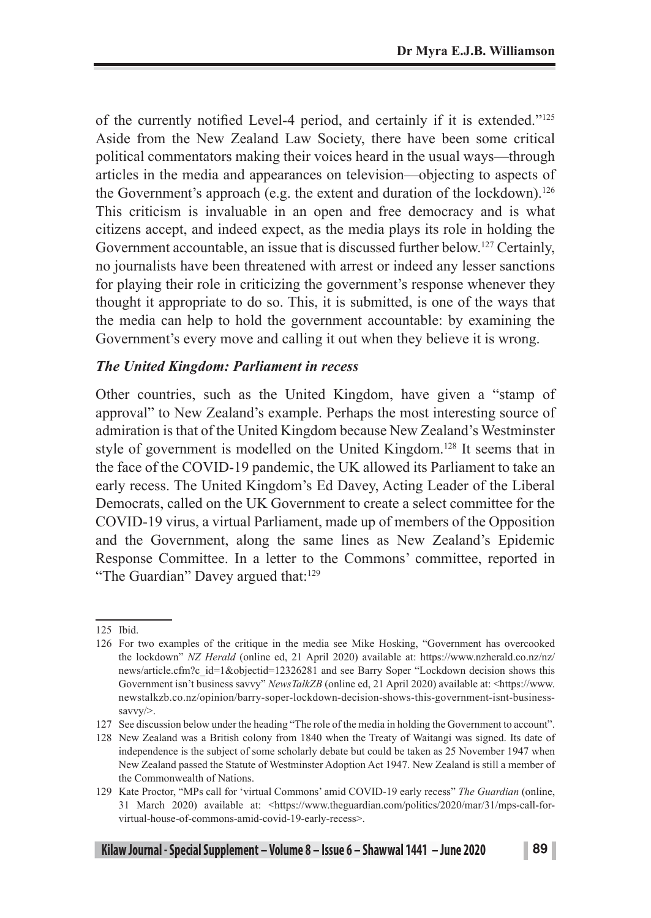of the currently notified Level-4 period, and certainly if it is extended."<sup>125</sup> Aside from the New Zealand Law Society, there have been some critical political commentators making their voices heard in the usual ways—through articles in the media and appearances on television—objecting to aspects of the Government's approach (e.g. the extent and duration of the lockdown).<sup>126</sup> This criticism is invaluable in an open and free democracy and is what citizens accept, and indeed expect, as the media plays its role in holding the Government accountable, an issue that is discussed further below.<sup>127</sup> Certainly, no journalists have been threatened with arrest or indeed any lesser sanctions for playing their role in criticizing the government's response whenever they thought it appropriate to do so. This, it is submitted, is one of the ways that the media can help to hold the government accountable: by examining the Government's every move and calling it out when they believe it is wrong.

#### *The United Kingdom: Parliament in recess*

Other countries, such as the United Kingdom, have given a "stamp of approval" to New Zealand's example. Perhaps the most interesting source of admiration is that of the United Kingdom because New Zealand's Westminster style of government is modelled on the United Kingdom.128 It seems that in the face of the COVID-19 pandemic, the UK allowed its Parliament to take an early recess. The United Kingdom's Ed Davey, Acting Leader of the Liberal Democrats, called on the UK Government to create a select committee for the COVID-19 virus, a virtual Parliament, made up of members of the Opposition and the Government, along the same lines as New Zealand's Epidemic Response Committee. In a letter to the Commons' committee, reported in "The Guardian" Davey argued that:<sup>129</sup>

<sup>125</sup> Ibid.

<sup>126</sup> For two examples of the critique in the media see Mike Hosking, "Government has overcooked the lockdown" *NZ Herald* (online ed, 21 April 2020) available at: https://www.nzherald.co.nz/nz/ news/article.cfm?c\_id=1&objectid=12326281 and see Barry Soper "Lockdown decision shows this Government isn't business savvy" *NewsTalkZB* (online ed, 21 April 2020) available at: <https://www. newstalkzb.co.nz/opinion/barry-soper-lockdown-decision-shows-this-government-isnt-businesssavvy/>.

<sup>127</sup> See discussion below under the heading "The role of the media in holding the Government to account".

<sup>128</sup> New Zealand was a British colony from 1840 when the Treaty of Waitangi was signed. Its date of independence is the subject of some scholarly debate but could be taken as 25 November 1947 when New Zealand passed the Statute of Westminster Adoption Act 1947. New Zealand is still a member of the Commonwealth of Nations.

<sup>129</sup> Kate Proctor, "MPs call for 'virtual Commons' amid COVID-19 early recess" *The Guardian* (online, 31 March 2020) available at: <https://www.theguardian.com/politics/2020/mar/31/mps-call-forvirtual-house-of-commons-amid-covid-19-early-recess>.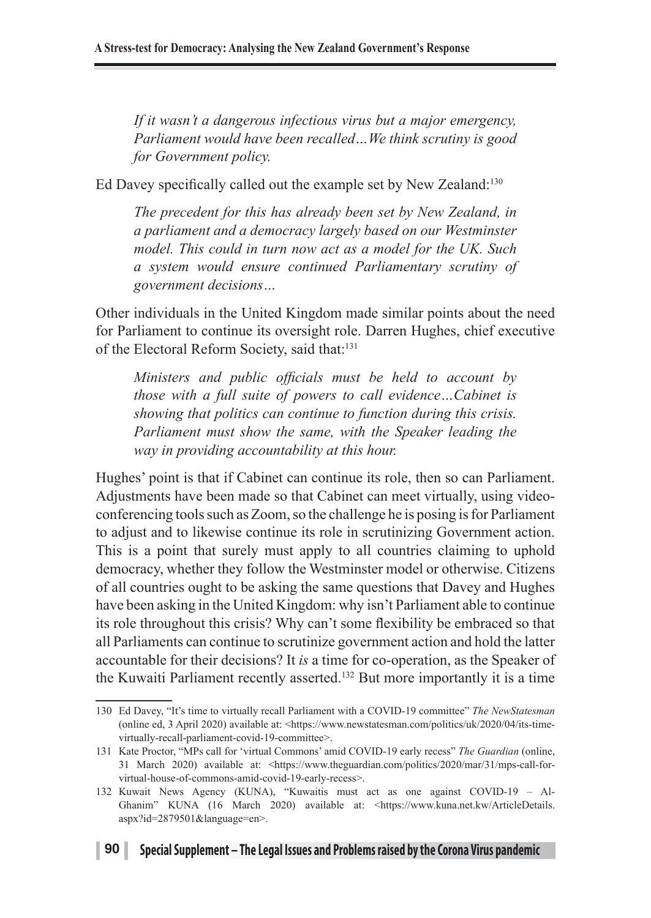*If it wasn't a dangerous infectious virus but a major emergency, Parliament would have been recalled…We think scrutiny is good for Government policy.* 

Ed Davey specifically called out the example set by New Zealand:<sup>130</sup>

*The precedent for this has already been set by New Zealand, in a parliament and a democracy largely based on our Westminster model. This could in turn now act as a model for the UK. Such a system would ensure continued Parliamentary scrutiny of government decisions…*

Other individuals in the United Kingdom made similar points about the need for Parliament to continue its oversight role. Darren Hughes, chief executive of the Electoral Reform Society, said that:<sup>131</sup>

*Ministers and public officials must be held to account by those with a full suite of powers to call evidence…Cabinet is showing that politics can continue to function during this crisis. Parliament must show the same, with the Speaker leading the way in providing accountability at this hour.*

Hughes' point is that if Cabinet can continue its role, then so can Parliament. Adjustments have been made so that Cabinet can meet virtually, using videoconferencing tools such as Zoom, so the challenge he is posing is for Parliament to adjust and to likewise continue its role in scrutinizing Government action. This is a point that surely must apply to all countries claiming to uphold democracy, whether they follow the Westminster model or otherwise. Citizens of all countries ought to be asking the same questions that Davey and Hughes have been asking in the United Kingdom: why isn't Parliament able to continue its role throughout this crisis? Why can't some flexibility be embraced so that all Parliaments can continue to scrutinize government action and hold the latter accountable for their decisions? It *is* a time for co-operation, as the Speaker of the Kuwaiti Parliament recently asserted.132 But more importantly it is a time

<sup>130</sup> Ed Davey, "It's time to virtually recall Parliament with a COVID-19 committee" *The NewStatesman* (online ed, 3 April 2020) available at: <https://www.newstatesman.com/politics/uk/2020/04/its-timevirtually-recall-parliament-covid-19-committee>.

<sup>131</sup> Kate Proctor, "MPs call for 'virtual Commons' amid COVID-19 early recess" *The Guardian* (online, 31 March 2020) available at: <https://www.theguardian.com/politics/2020/mar/31/mps-call-forvirtual-house-of-commons-amid-covid-19-early-recess>.

<sup>132</sup> Kuwait News Agency (KUNA), "Kuwaitis must act as one against COVID-19 – Al-Ghanim" KUNA (16 March 2020) available at: <https://www.kuna.net.kw/ArticleDetails. aspx?id=2879501&language=en>.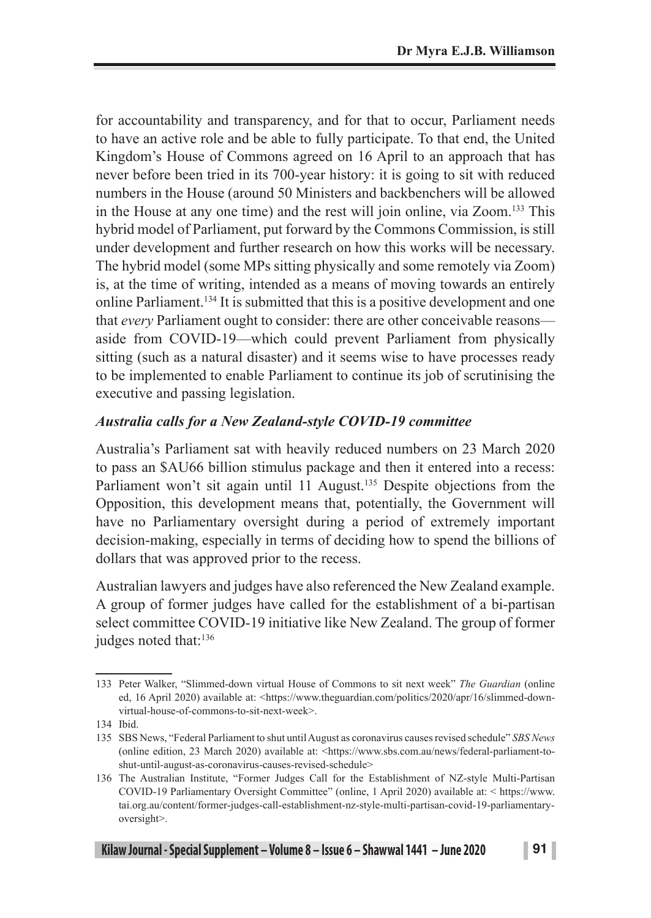for accountability and transparency, and for that to occur, Parliament needs to have an active role and be able to fully participate. To that end, the United Kingdom's House of Commons agreed on 16 April to an approach that has never before been tried in its 700-year history: it is going to sit with reduced numbers in the House (around 50 Ministers and backbenchers will be allowed in the House at any one time) and the rest will join online, via Zoom.133 This hybrid model of Parliament, put forward by the Commons Commission, is still under development and further research on how this works will be necessary. The hybrid model (some MPs sitting physically and some remotely via Zoom) is, at the time of writing, intended as a means of moving towards an entirely online Parliament.134 It is submitted that this is a positive development and one that *every* Parliament ought to consider: there are other conceivable reasons aside from COVID-19—which could prevent Parliament from physically sitting (such as a natural disaster) and it seems wise to have processes ready to be implemented to enable Parliament to continue its job of scrutinising the executive and passing legislation.

### *Australia calls for a New Zealand-style COVID-19 committee*

Australia's Parliament sat with heavily reduced numbers on 23 March 2020 to pass an \$AU66 billion stimulus package and then it entered into a recess: Parliament won't sit again until 11 August.<sup>135</sup> Despite objections from the Opposition, this development means that, potentially, the Government will have no Parliamentary oversight during a period of extremely important decision-making, especially in terms of deciding how to spend the billions of dollars that was approved prior to the recess.

Australian lawyers and judges have also referenced the New Zealand example. A group of former judges have called for the establishment of a bi-partisan select committee COVID-19 initiative like New Zealand. The group of former judges noted that:<sup>136</sup>

<sup>133</sup> Peter Walker, "Slimmed-down virtual House of Commons to sit next week" *The Guardian* (online ed, 16 April 2020) available at: <https://www.theguardian.com/politics/2020/apr/16/slimmed-downvirtual-house-of-commons-to-sit-next-week>.

<sup>134</sup> Ibid.

<sup>135</sup> SBS News, "Federal Parliament to shut until August as coronavirus causes revised schedule" *SBS News* (online edition, 23 March 2020) available at: <https://www.sbs.com.au/news/federal-parliament-toshut-until-august-as-coronavirus-causes-revised-schedule>

<sup>136</sup> The Australian Institute, "Former Judges Call for the Establishment of NZ-style Multi-Partisan COVID-19 Parliamentary Oversight Committee" (online, 1 April 2020) available at: < https://www. tai.org.au/content/former-judges-call-establishment-nz-style-multi-partisan-covid-19-parliamentaryoversight>.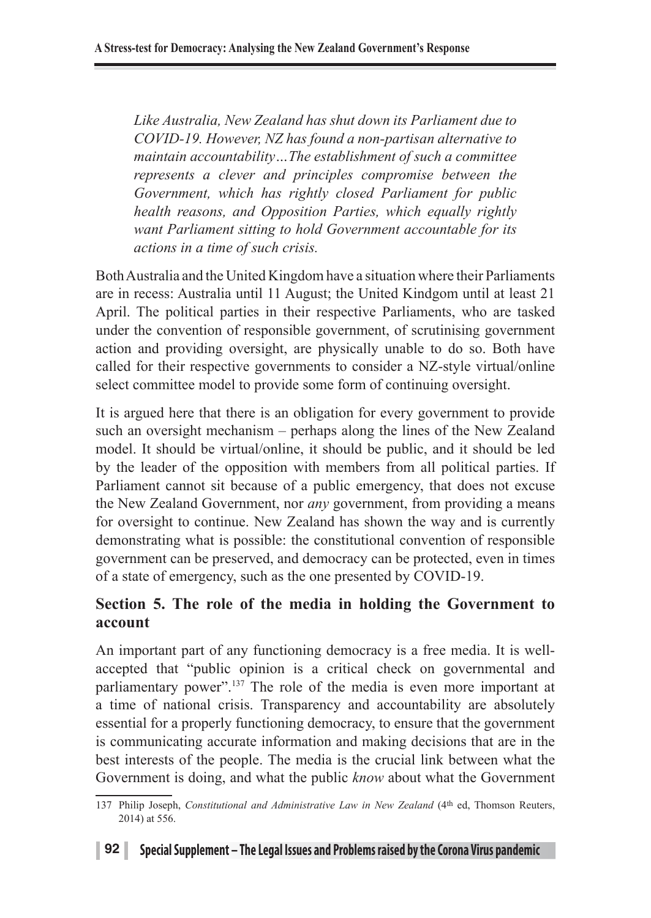*Like Australia, New Zealand has shut down its Parliament due to COVID-19. However, NZ has found a non-partisan alternative to maintain accountability…The establishment of such a committee represents a clever and principles compromise between the Government, which has rightly closed Parliament for public health reasons, and Opposition Parties, which equally rightly want Parliament sitting to hold Government accountable for its actions in a time of such crisis.*

Both Australia and the United Kingdom have a situation where their Parliaments are in recess: Australia until 11 August; the United Kindgom until at least 21 April. The political parties in their respective Parliaments, who are tasked under the convention of responsible government, of scrutinising government action and providing oversight, are physically unable to do so. Both have called for their respective governments to consider a NZ-style virtual/online select committee model to provide some form of continuing oversight.

It is argued here that there is an obligation for every government to provide such an oversight mechanism – perhaps along the lines of the New Zealand model. It should be virtual/online, it should be public, and it should be led by the leader of the opposition with members from all political parties. If Parliament cannot sit because of a public emergency, that does not excuse the New Zealand Government, nor *any* government, from providing a means for oversight to continue. New Zealand has shown the way and is currently demonstrating what is possible: the constitutional convention of responsible government can be preserved, and democracy can be protected, even in times of a state of emergency, such as the one presented by COVID-19.

### **Section 5. The role of the media in holding the Government to account**

An important part of any functioning democracy is a free media. It is wellaccepted that "public opinion is a critical check on governmental and parliamentary power".<sup>137</sup> The role of the media is even more important at a time of national crisis. Transparency and accountability are absolutely essential for a properly functioning democracy, to ensure that the government is communicating accurate information and making decisions that are in the best interests of the people. The media is the crucial link between what the Government is doing, and what the public *know* about what the Government

<sup>137</sup> Philip Joseph, *Constitutional and Administrative Law in New Zealand* (4<sup>th</sup> ed, Thomson Reuters, 2014) at 556.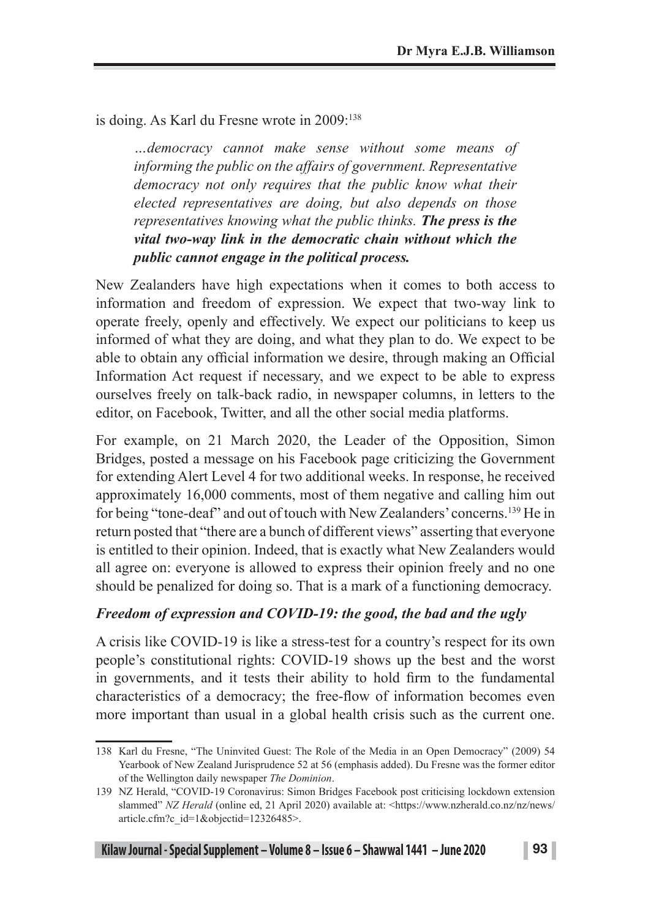is doing. As Karl du Fresne wrote in 2009:<sup>138</sup>

*…democracy cannot make sense without some means of informing the public on the affairs of government. Representative democracy not only requires that the public know what their elected representatives are doing, but also depends on those representatives knowing what the public thinks. The press is the vital two-way link in the democratic chain without which the public cannot engage in the political process.*

New Zealanders have high expectations when it comes to both access to information and freedom of expression. We expect that two-way link to operate freely, openly and effectively. We expect our politicians to keep us informed of what they are doing, and what they plan to do. We expect to be able to obtain any official information we desire, through making an Official Information Act request if necessary, and we expect to be able to express ourselves freely on talk-back radio, in newspaper columns, in letters to the editor, on Facebook, Twitter, and all the other social media platforms.

For example, on 21 March 2020, the Leader of the Opposition, Simon Bridges, posted a message on his Facebook page criticizing the Government for extending Alert Level 4 for two additional weeks. In response, he received approximately 16,000 comments, most of them negative and calling him out for being "tone-deaf" and out of touch with New Zealanders' concerns.139 He in return posted that "there are a bunch of different views" asserting that everyone is entitled to their opinion. Indeed, that is exactly what New Zealanders would all agree on: everyone is allowed to express their opinion freely and no one should be penalized for doing so. That is a mark of a functioning democracy.

#### *Freedom of expression and COVID-19: the good, the bad and the ugly*

A crisis like COVID-19 is like a stress-test for a country's respect for its own people's constitutional rights: COVID-19 shows up the best and the worst in governments, and it tests their ability to hold firm to the fundamental characteristics of a democracy; the free-flow of information becomes even more important than usual in a global health crisis such as the current one.

<sup>138</sup> Karl du Fresne, "The Uninvited Guest: The Role of the Media in an Open Democracy" (2009) 54 Yearbook of New Zealand Jurisprudence 52 at 56 (emphasis added). Du Fresne was the former editor of the Wellington daily newspaper *The Dominion*.

<sup>139</sup> NZ Herald, "COVID-19 Coronavirus: Simon Bridges Facebook post criticising lockdown extension slammed" *NZ Herald* (online ed, 21 April 2020) available at: <https://www.nzherald.co.nz/nz/news/ article.cfm?c\_id=1&objectid=12326485>.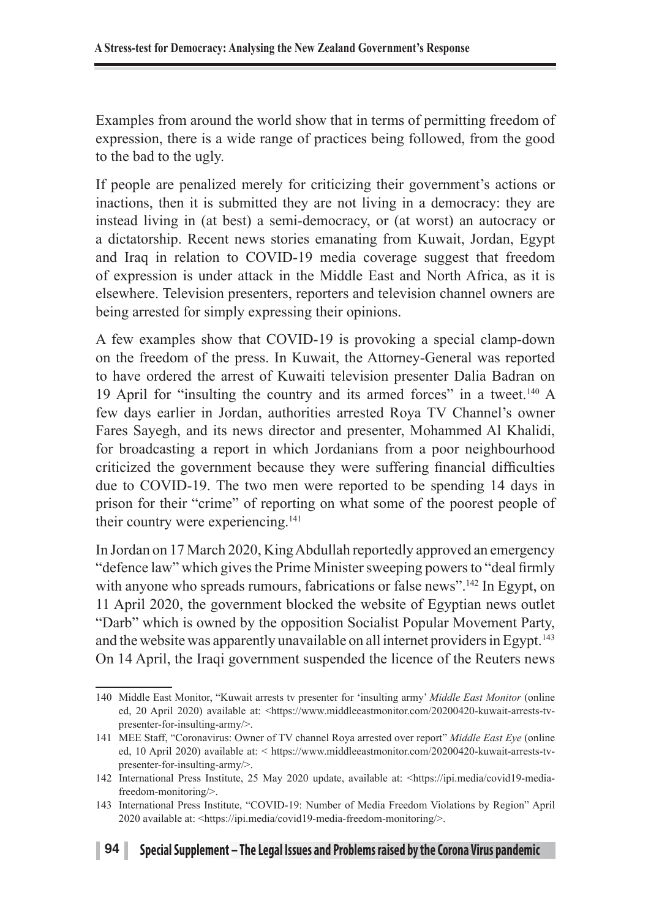Examples from around the world show that in terms of permitting freedom of expression, there is a wide range of practices being followed, from the good to the bad to the ugly.

If people are penalized merely for criticizing their government's actions or inactions, then it is submitted they are not living in a democracy: they are instead living in (at best) a semi-democracy, or (at worst) an autocracy or a dictatorship. Recent news stories emanating from Kuwait, Jordan, Egypt and Iraq in relation to COVID-19 media coverage suggest that freedom of expression is under attack in the Middle East and North Africa, as it is elsewhere. Television presenters, reporters and television channel owners are being arrested for simply expressing their opinions.

A few examples show that COVID-19 is provoking a special clamp-down on the freedom of the press. In Kuwait, the Attorney-General was reported to have ordered the arrest of Kuwaiti television presenter Dalia Badran on 19 April for "insulting the country and its armed forces" in a tweet.140 A few days earlier in Jordan, authorities arrested Roya TV Channel's owner Fares Sayegh, and its news director and presenter, Mohammed Al Khalidi, for broadcasting a report in which Jordanians from a poor neighbourhood criticized the government because they were suffering financial difficulties due to COVID-19. The two men were reported to be spending 14 days in prison for their "crime" of reporting on what some of the poorest people of their country were experiencing.141

In Jordan on 17 March 2020, King Abdullah reportedly approved an emergency "defence law" which gives the Prime Minister sweeping powers to "deal firmly with anyone who spreads rumours, fabrications or false news".<sup>142</sup> In Egypt, on 11 April 2020, the government blocked the website of Egyptian news outlet "Darb" which is owned by the opposition Socialist Popular Movement Party, and the website was apparently unavailable on all internet providers in Egypt.<sup>143</sup> On 14 April, the Iraqi government suspended the licence of the Reuters news

<sup>140</sup> Middle East Monitor, "Kuwait arrests tv presenter for 'insulting army' *Middle East Monitor* (online ed, 20 April 2020) available at: <https://www.middleeastmonitor.com/20200420-kuwait-arrests-tvpresenter-for-insulting-army/>.

<sup>141</sup> MEE Staff, "Coronavirus: Owner of TV channel Roya arrested over report" *Middle East Eye* (online ed, 10 April 2020) available at: < https://www.middleeastmonitor.com/20200420-kuwait-arrests-tvpresenter-for-insulting-army/>.

<sup>142</sup> International Press Institute, 25 May 2020 update, available at: <https://ipi.media/covid19-mediafreedom-monitoring/>.

<sup>143</sup> International Press Institute, "COVID-19: Number of Media Freedom Violations by Region" April 2020 available at: <https://ipi.media/covid19-media-freedom-monitoring/>.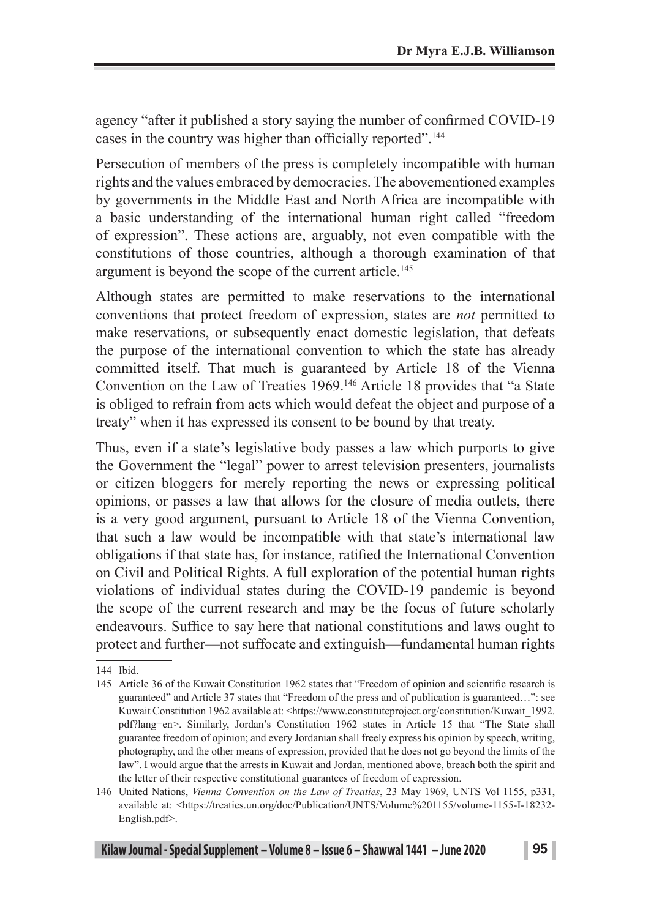agency "after it published a story saying the number of confirmed COVID-19 cases in the country was higher than officially reported".<sup>144</sup>

Persecution of members of the press is completely incompatible with human rights and the values embraced by democracies. The abovementioned examples by governments in the Middle East and North Africa are incompatible with a basic understanding of the international human right called "freedom of expression". These actions are, arguably, not even compatible with the constitutions of those countries, although a thorough examination of that argument is beyond the scope of the current article.<sup>145</sup>

Although states are permitted to make reservations to the international conventions that protect freedom of expression, states are *not* permitted to make reservations, or subsequently enact domestic legislation, that defeats the purpose of the international convention to which the state has already committed itself. That much is guaranteed by Article 18 of the Vienna Convention on the Law of Treaties 1969.<sup>146</sup> Article 18 provides that "a State" is obliged to refrain from acts which would defeat the object and purpose of a treaty" when it has expressed its consent to be bound by that treaty.

Thus, even if a state's legislative body passes a law which purports to give the Government the "legal" power to arrest television presenters, journalists or citizen bloggers for merely reporting the news or expressing political opinions, or passes a law that allows for the closure of media outlets, there is a very good argument, pursuant to Article 18 of the Vienna Convention, that such a law would be incompatible with that state's international law obligations if that state has, for instance, ratified the International Convention on Civil and Political Rights. A full exploration of the potential human rights violations of individual states during the COVID-19 pandemic is beyond the scope of the current research and may be the focus of future scholarly endeavours. Suffice to say here that national constitutions and laws ought to protect and further—not suffocate and extinguish—fundamental human rights

<sup>144</sup> Ibid.

<sup>145</sup> Article 36 of the Kuwait Constitution 1962 states that "Freedom of opinion and scientific research is guaranteed" and Article 37 states that "Freedom of the press and of publication is guaranteed…": see Kuwait Constitution 1962 available at: <https://www.constituteproject.org/constitution/Kuwait\_1992. pdf?lang=en>. Similarly, Jordan's Constitution 1962 states in Article 15 that "The State shall guarantee freedom of opinion; and every Jordanian shall freely express his opinion by speech, writing, photography, and the other means of expression, provided that he does not go beyond the limits of the law". I would argue that the arrests in Kuwait and Jordan, mentioned above, breach both the spirit and the letter of their respective constitutional guarantees of freedom of expression.

<sup>146</sup> United Nations, *Vienna Convention on the Law of Treaties*, 23 May 1969, UNTS Vol 1155, p331, available at: <https://treaties.un.org/doc/Publication/UNTS/Volume%201155/volume-1155-I-18232- English.pdf>.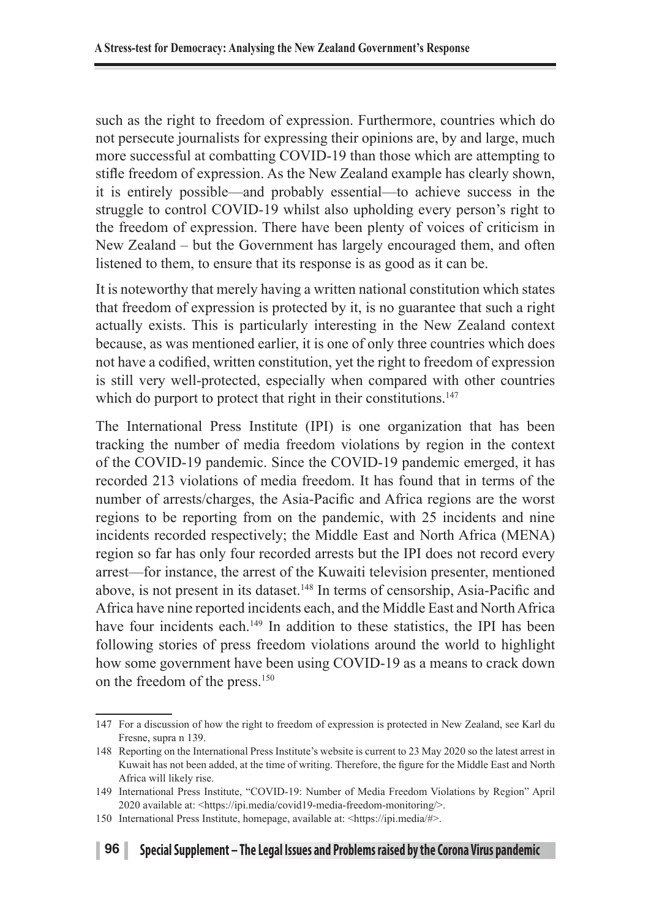such as the right to freedom of expression. Furthermore, countries which do not persecute journalists for expressing their opinions are, by and large, much more successful at combatting COVID-19 than those which are attempting to stifle freedom of expression. As the New Zealand example has clearly shown, it is entirely possible—and probably essential—to achieve success in the struggle to control COVID-19 whilst also upholding every person's right to the freedom of expression. There have been plenty of voices of criticism in New Zealand – but the Government has largely encouraged them, and often listened to them, to ensure that its response is as good as it can be.

It is noteworthy that merely having a written national constitution which states that freedom of expression is protected by it, is no guarantee that such a right actually exists. This is particularly interesting in the New Zealand context because, as was mentioned earlier, it is one of only three countries which does not have a codified, written constitution, yet the right to freedom of expression is still very well-protected, especially when compared with other countries which do purport to protect that right in their constitutions.<sup>147</sup>

The International Press Institute (IPI) is one organization that has been tracking the number of media freedom violations by region in the context of the COVID-19 pandemic. Since the COVID-19 pandemic emerged, it has recorded 213 violations of media freedom. It has found that in terms of the number of arrests/charges, the Asia-Pacific and Africa regions are the worst regions to be reporting from on the pandemic, with 25 incidents and nine incidents recorded respectively; the Middle East and North Africa (MENA) region so far has only four recorded arrests but the IPI does not record every arrest—for instance, the arrest of the Kuwaiti television presenter, mentioned above, is not present in its dataset.148 In terms of censorship, Asia-Pacific and Africa have nine reported incidents each, and the Middle East and North Africa have four incidents each.<sup>149</sup> In addition to these statistics, the IPI has been following stories of press freedom violations around the world to highlight how some government have been using COVID-19 as a means to crack down on the freedom of the press.150

<sup>147</sup> For a discussion of how the right to freedom of expression is protected in New Zealand, see Karl du Fresne, supra n 139.

<sup>148</sup> Reporting on the International Press Institute's website is current to 23 May 2020 so the latest arrest in Kuwait has not been added, at the time of writing. Therefore, the figure for the Middle East and North Africa will likely rise.

<sup>149</sup> International Press Institute, "COVID-19: Number of Media Freedom Violations by Region" April 2020 available at: <https://ipi.media/covid19-media-freedom-monitoring/>.

<sup>150</sup> International Press Institute, homepage, available at: <https://ipi.media/#>.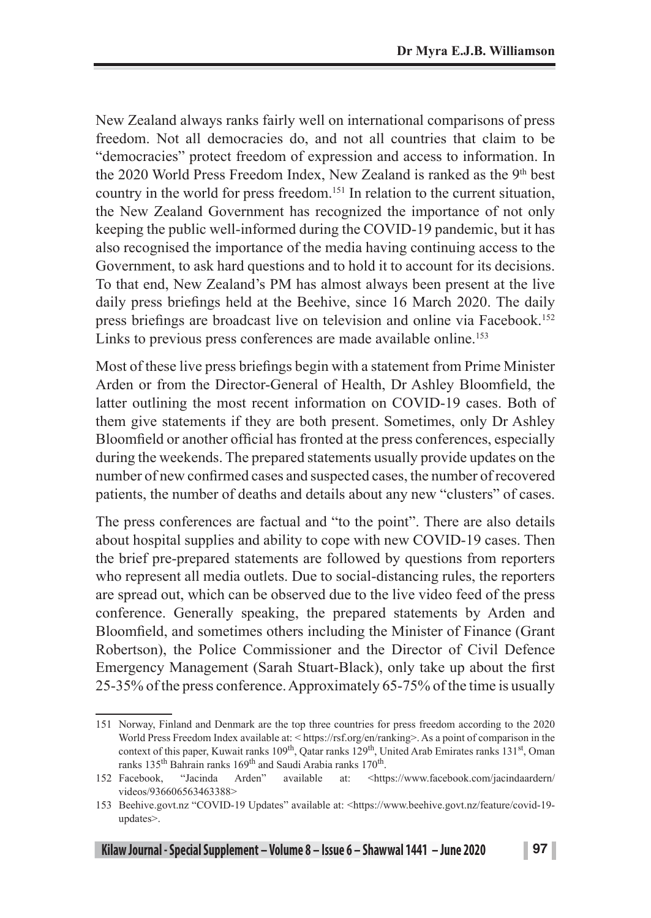New Zealand always ranks fairly well on international comparisons of press freedom. Not all democracies do, and not all countries that claim to be "democracies" protect freedom of expression and access to information. In the 2020 World Press Freedom Index, New Zealand is ranked as the 9<sup>th</sup> best country in the world for press freedom.151 In relation to the current situation, the New Zealand Government has recognized the importance of not only keeping the public well-informed during the COVID-19 pandemic, but it has also recognised the importance of the media having continuing access to the Government, to ask hard questions and to hold it to account for its decisions. To that end, New Zealand's PM has almost always been present at the live daily press briefings held at the Beehive, since 16 March 2020. The daily press briefings are broadcast live on television and online via Facebook.<sup>152</sup> Links to previous press conferences are made available online.<sup>153</sup>

Most of these live press briefings begin with a statement from Prime Minister Arden or from the Director-General of Health, Dr Ashley Bloomfield, the latter outlining the most recent information on COVID-19 cases. Both of them give statements if they are both present. Sometimes, only Dr Ashley Bloomfield or another official has fronted at the press conferences, especially during the weekends. The prepared statements usually provide updates on the number of new confirmed cases and suspected cases, the number of recovered patients, the number of deaths and details about any new "clusters" of cases.

The press conferences are factual and "to the point". There are also details about hospital supplies and ability to cope with new COVID-19 cases. Then the brief pre-prepared statements are followed by questions from reporters who represent all media outlets. Due to social-distancing rules, the reporters are spread out, which can be observed due to the live video feed of the press conference. Generally speaking, the prepared statements by Arden and Bloomfield, and sometimes others including the Minister of Finance (Grant Robertson), the Police Commissioner and the Director of Civil Defence Emergency Management (Sarah Stuart-Black), only take up about the first 25-35% of the press conference. Approximately 65-75% of the time is usually

<sup>151</sup> Norway, Finland and Denmark are the top three countries for press freedom according to the 2020 World Press Freedom Index available at: < https://rsf.org/en/ranking>. As a point of comparison in the context of this paper, Kuwait ranks 109<sup>th</sup>, Qatar ranks 129<sup>th</sup>, United Arab Emirates ranks 131<sup>st</sup>, Oman ranks  $135<sup>th</sup>$  Bahrain ranks  $169<sup>th</sup>$  and Saudi Arabia ranks  $170<sup>th</sup>$ .<br>Facebook. "Jacinda Arden" available at: <http://

<sup>152</sup> Facebook, "Jacinda Arden" available at: <https://www.facebook.com/jacindaardern/ videos/936606563463388>

<sup>153</sup> Beehive.govt.nz "COVID-19 Updates" available at: <https://www.beehive.govt.nz/feature/covid-19 updates>.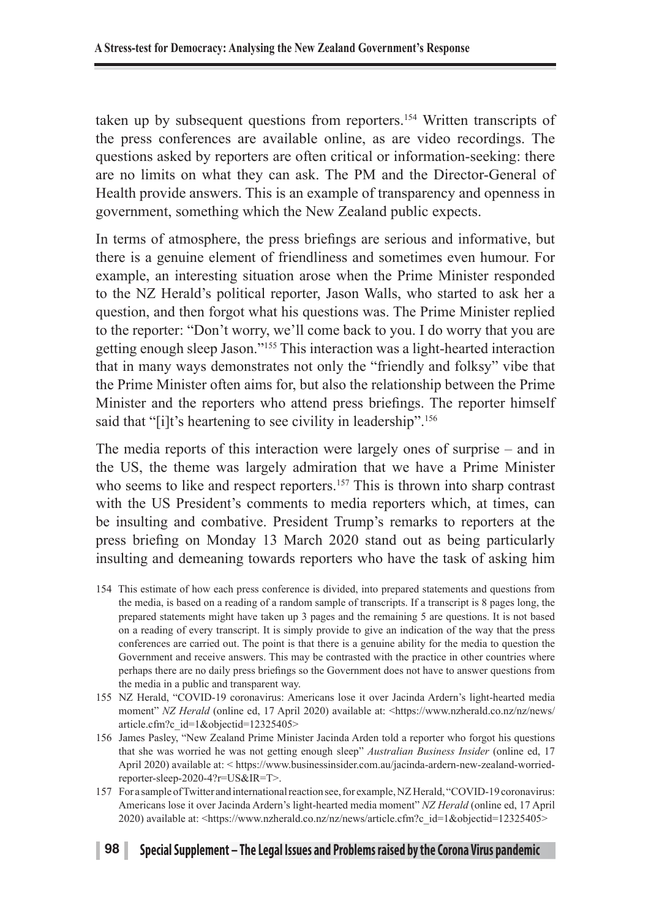taken up by subsequent questions from reporters.154 Written transcripts of the press conferences are available online, as are video recordings. The questions asked by reporters are often critical or information-seeking: there are no limits on what they can ask. The PM and the Director-General of Health provide answers. This is an example of transparency and openness in government, something which the New Zealand public expects.

In terms of atmosphere, the press briefings are serious and informative, but there is a genuine element of friendliness and sometimes even humour. For example, an interesting situation arose when the Prime Minister responded to the NZ Herald's political reporter, Jason Walls, who started to ask her a question, and then forgot what his questions was. The Prime Minister replied to the reporter: "Don't worry, we'll come back to you. I do worry that you are getting enough sleep Jason."155 This interaction was a light-hearted interaction that in many ways demonstrates not only the "friendly and folksy" vibe that the Prime Minister often aims for, but also the relationship between the Prime Minister and the reporters who attend press briefings. The reporter himself said that "[i]t's heartening to see civility in leadership".<sup>156</sup>

The media reports of this interaction were largely ones of surprise – and in the US, the theme was largely admiration that we have a Prime Minister who seems to like and respect reporters.<sup>157</sup> This is thrown into sharp contrast with the US President's comments to media reporters which, at times, can be insulting and combative. President Trump's remarks to reporters at the press briefing on Monday 13 March 2020 stand out as being particularly insulting and demeaning towards reporters who have the task of asking him

- 154 This estimate of how each press conference is divided, into prepared statements and questions from the media, is based on a reading of a random sample of transcripts. If a transcript is 8 pages long, the prepared statements might have taken up 3 pages and the remaining 5 are questions. It is not based on a reading of every transcript. It is simply provide to give an indication of the way that the press conferences are carried out. The point is that there is a genuine ability for the media to question the Government and receive answers. This may be contrasted with the practice in other countries where perhaps there are no daily press briefings so the Government does not have to answer questions from the media in a public and transparent way.
- 155 NZ Herald, "COVID-19 coronavirus: Americans lose it over Jacinda Ardern's light-hearted media moment" *NZ Herald* (online ed, 17 April 2020) available at: <https://www.nzherald.co.nz/nz/news/ article.cfm?c\_id=1&objectid=12325405>
- 156 James Pasley, "New Zealand Prime Minister Jacinda Arden told a reporter who forgot his questions that she was worried he was not getting enough sleep" *Australian Business Insider* (online ed, 17 April 2020) available at: < https://www.businessinsider.com.au/jacinda-ardern-new-zealand-worriedreporter-sleep-2020-4?r=US&IR=T>.
- 157 For a sample of Twitter and international reaction see, for example, NZ Herald, "COVID-19 coronavirus: Americans lose it over Jacinda Ardern's light-hearted media moment" *NZ Herald* (online ed, 17 April 2020) available at: <https://www.nzherald.co.nz/nz/news/article.cfm?c\_id=1&objectid=12325405>

#### **98 Special Supplement – The Legal Issues and Problems raised by the Corona Virus pandemic**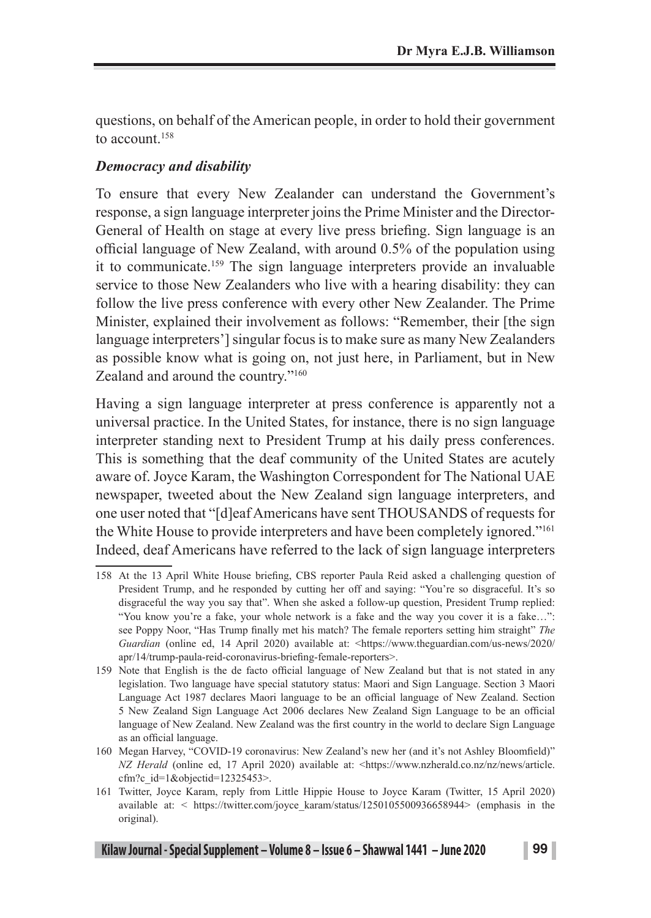questions, on behalf of the American people, in order to hold their government to account <sup>158</sup>

### *Democracy and disability*

To ensure that every New Zealander can understand the Government's response, a sign language interpreter joins the Prime Minister and the Director-General of Health on stage at every live press briefing. Sign language is an official language of New Zealand, with around 0.5% of the population using it to communicate.159 The sign language interpreters provide an invaluable service to those New Zealanders who live with a hearing disability: they can follow the live press conference with every other New Zealander. The Prime Minister, explained their involvement as follows: "Remember, their [the sign language interpreters'] singular focus is to make sure as many New Zealanders as possible know what is going on, not just here, in Parliament, but in New Zealand and around the country."160

Having a sign language interpreter at press conference is apparently not a universal practice. In the United States, for instance, there is no sign language interpreter standing next to President Trump at his daily press conferences. This is something that the deaf community of the United States are acutely aware of. Joyce Karam, the Washington Correspondent for The National UAE newspaper, tweeted about the New Zealand sign language interpreters, and one user noted that "[d]eaf Americans have sent THOUSANDS of requests for the White House to provide interpreters and have been completely ignored."161 Indeed, deaf Americans have referred to the lack of sign language interpreters

<sup>158</sup> At the 13 April White House briefing, CBS reporter Paula Reid asked a challenging question of President Trump, and he responded by cutting her off and saying: "You're so disgraceful. It's so disgraceful the way you say that". When she asked a follow-up question, President Trump replied: "You know you're a fake, your whole network is a fake and the way you cover it is a fake…": see Poppy Noor, "Has Trump finally met his match? The female reporters setting him straight" *The Guardian* (online ed, 14 April 2020) available at: <https://www.theguardian.com/us-news/2020/ apr/14/trump-paula-reid-coronavirus-briefing-female-reporters>.

<sup>159</sup> Note that English is the de facto official language of New Zealand but that is not stated in any legislation. Two language have special statutory status: Maori and Sign Language. Section 3 Maori Language Act 1987 declares Maori language to be an official language of New Zealand. Section 5 New Zealand Sign Language Act 2006 declares New Zealand Sign Language to be an official language of New Zealand. New Zealand was the first country in the world to declare Sign Language as an official language.

<sup>160</sup> Megan Harvey, "COVID-19 coronavirus: New Zealand's new her (and it's not Ashley Bloomfield)" *NZ Herald* (online ed, 17 April 2020) available at: <https://www.nzherald.co.nz/nz/news/article. cfm?c\_id=1&objectid=12325453>.

<sup>161</sup> Twitter, Joyce Karam, reply from Little Hippie House to Joyce Karam (Twitter, 15 April 2020) available at: < https://twitter.com/joyce\_karam/status/1250105500936658944> (emphasis in the original).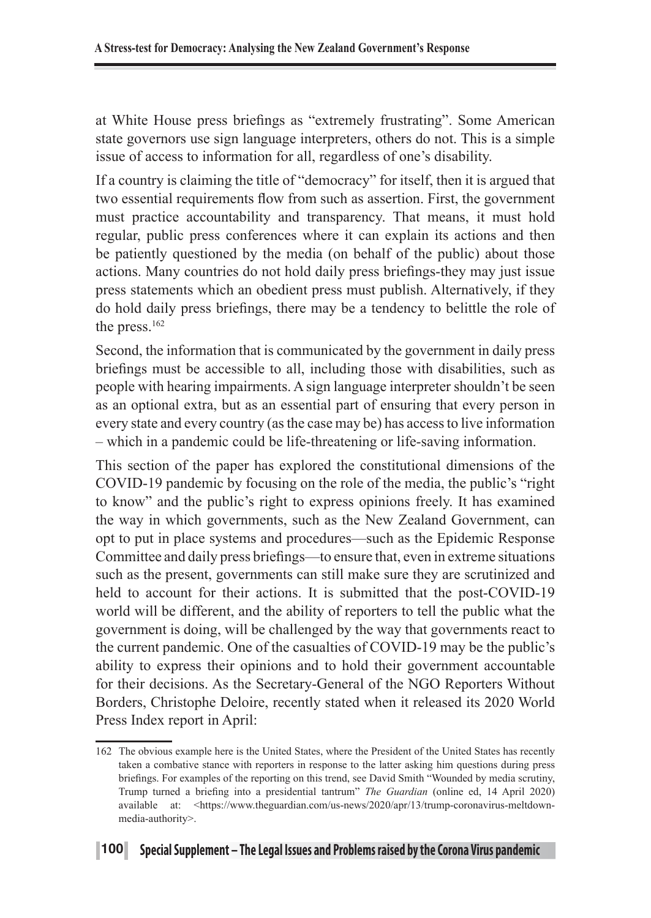at White House press briefings as "extremely frustrating". Some American state governors use sign language interpreters, others do not. This is a simple issue of access to information for all, regardless of one's disability.

If a country is claiming the title of "democracy" for itself, then it is argued that two essential requirements flow from such as assertion. First, the government must practice accountability and transparency. That means, it must hold regular, public press conferences where it can explain its actions and then be patiently questioned by the media (on behalf of the public) about those actions. Many countries do not hold daily press briefings-they may just issue press statements which an obedient press must publish. Alternatively, if they do hold daily press briefings, there may be a tendency to belittle the role of the press.<sup>162</sup>

Second, the information that is communicated by the government in daily press briefings must be accessible to all, including those with disabilities, such as people with hearing impairments. A sign language interpreter shouldn't be seen as an optional extra, but as an essential part of ensuring that every person in every state and every country (as the case may be) has access to live information – which in a pandemic could be life-threatening or life-saving information.

This section of the paper has explored the constitutional dimensions of the COVID-19 pandemic by focusing on the role of the media, the public's "right to know" and the public's right to express opinions freely. It has examined the way in which governments, such as the New Zealand Government, can opt to put in place systems and procedures—such as the Epidemic Response Committee and daily press briefings—to ensure that, even in extreme situations such as the present, governments can still make sure they are scrutinized and held to account for their actions. It is submitted that the post-COVID-19 world will be different, and the ability of reporters to tell the public what the government is doing, will be challenged by the way that governments react to the current pandemic. One of the casualties of COVID-19 may be the public's ability to express their opinions and to hold their government accountable for their decisions. As the Secretary-General of the NGO Reporters Without Borders, Christophe Deloire, recently stated when it released its 2020 World Press Index report in April:

<sup>162</sup> The obvious example here is the United States, where the President of the United States has recently taken a combative stance with reporters in response to the latter asking him questions during press briefings. For examples of the reporting on this trend, see David Smith "Wounded by media scrutiny, Trump turned a briefing into a presidential tantrum" *The Guardian* (online ed, 14 April 2020) available at: <https://www.theguardian.com/us-news/2020/apr/13/trump-coronavirus-meltdownmedia-authority>.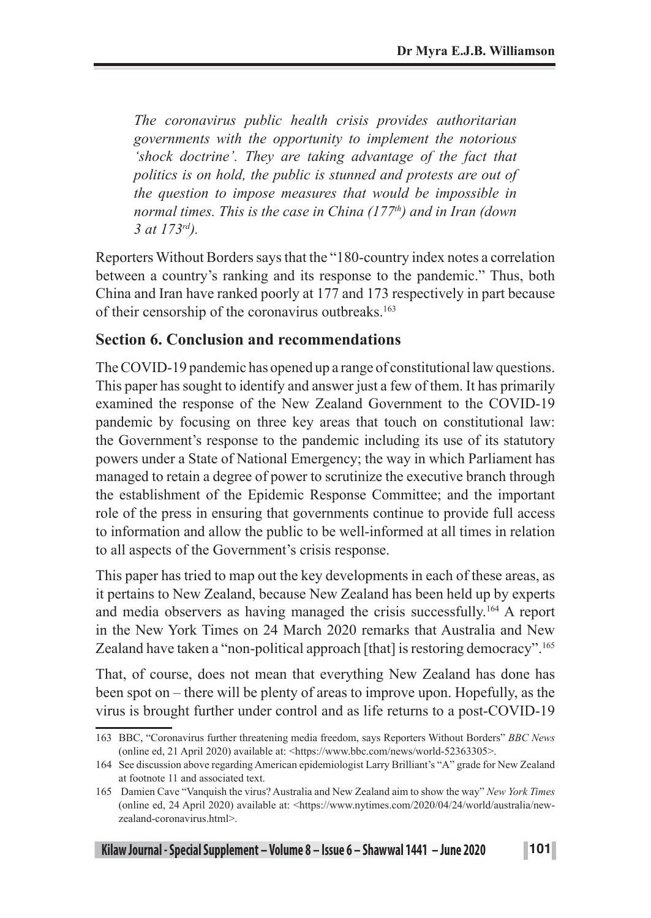*The coronavirus public health crisis provides authoritarian governments with the opportunity to implement the notorious 'shock doctrine'. They are taking advantage of the fact that politics is on hold, the public is stunned and protests are out of the question to impose measures that would be impossible in normal times. This is the case in China (177th) and in Iran (down 3 at 173rd).* 

Reporters Without Borders says that the "180-country index notes a correlation between a country's ranking and its response to the pandemic." Thus, both China and Iran have ranked poorly at 177 and 173 respectively in part because of their censorship of the coronavirus outbreaks.163

### **Section 6. Conclusion and recommendations**

The COVID-19 pandemic has opened up a range of constitutional law questions. This paper has sought to identify and answer just a few of them. It has primarily examined the response of the New Zealand Government to the COVID-19 pandemic by focusing on three key areas that touch on constitutional law: the Government's response to the pandemic including its use of its statutory powers under a State of National Emergency; the way in which Parliament has managed to retain a degree of power to scrutinize the executive branch through the establishment of the Epidemic Response Committee; and the important role of the press in ensuring that governments continue to provide full access to information and allow the public to be well-informed at all times in relation to all aspects of the Government's crisis response.

This paper has tried to map out the key developments in each of these areas, as it pertains to New Zealand, because New Zealand has been held up by experts and media observers as having managed the crisis successfully.164 A report in the New York Times on 24 March 2020 remarks that Australia and New Zealand have taken a "non-political approach [that] is restoring democracy".<sup>165</sup>

That, of course, does not mean that everything New Zealand has done has been spot on – there will be plenty of areas to improve upon. Hopefully, as the virus is brought further under control and as life returns to a post-COVID-19

<sup>163</sup> BBC, "Coronavirus further threatening media freedom, says Reporters Without Borders" *BBC News* (online ed, 21 April 2020) available at: <https://www.bbc.com/news/world-52363305>.

<sup>164</sup> See discussion above regarding American epidemiologist Larry Brilliant's "A" grade for New Zealand at footnote 11 and associated text.

<sup>165</sup> Damien Cave "Vanquish the virus? Australia and New Zealand aim to show the way" *New York Times* (online ed, 24 April 2020) available at: <https://www.nytimes.com/2020/04/24/world/australia/newzealand-coronavirus.html>.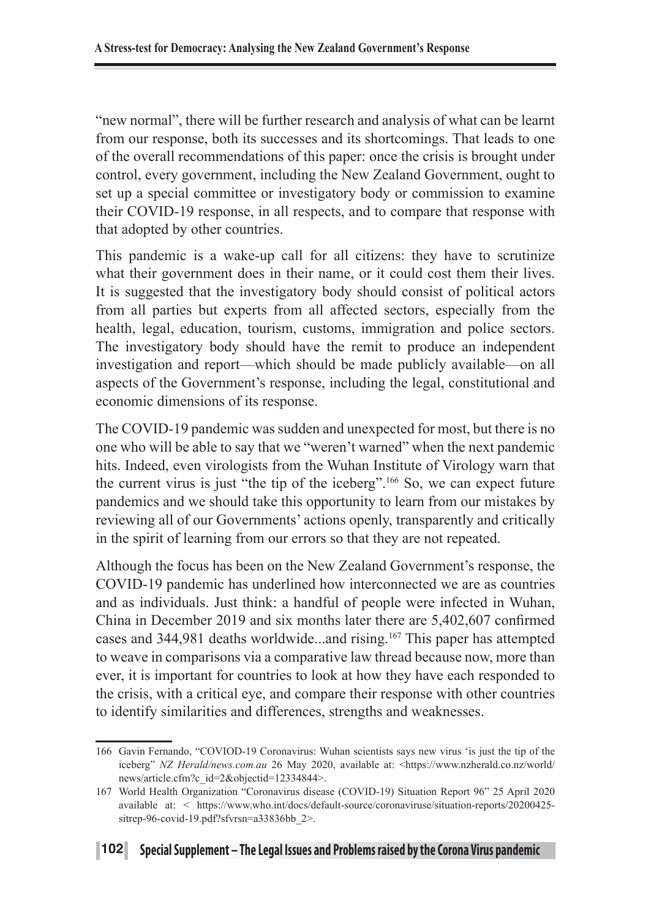"new normal", there will be further research and analysis of what can be learnt from our response, both its successes and its shortcomings. That leads to one of the overall recommendations of this paper: once the crisis is brought under control, every government, including the New Zealand Government, ought to set up a special committee or investigatory body or commission to examine their COVID-19 response, in all respects, and to compare that response with that adopted by other countries.

This pandemic is a wake-up call for all citizens: they have to scrutinize what their government does in their name, or it could cost them their lives. It is suggested that the investigatory body should consist of political actors from all parties but experts from all affected sectors, especially from the health, legal, education, tourism, customs, immigration and police sectors. The investigatory body should have the remit to produce an independent investigation and report—which should be made publicly available—on all aspects of the Government's response, including the legal, constitutional and economic dimensions of its response.

The COVID-19 pandemic was sudden and unexpected for most, but there is no one who will be able to say that we "weren't warned" when the next pandemic hits. Indeed, even virologists from the Wuhan Institute of Virology warn that the current virus is just "the tip of the iceberg".166 So, we can expect future pandemics and we should take this opportunity to learn from our mistakes by reviewing all of our Governments' actions openly, transparently and critically in the spirit of learning from our errors so that they are not repeated.

Although the focus has been on the New Zealand Government's response, the COVID-19 pandemic has underlined how interconnected we are as countries and as individuals. Just think: a handful of people were infected in Wuhan, China in December 2019 and six months later there are 5,402,607 confirmed cases and 344,981 deaths worldwide...and rising.167 This paper has attempted to weave in comparisons via a comparative law thread because now, more than ever, it is important for countries to look at how they have each responded to the crisis, with a critical eye, and compare their response with other countries to identify similarities and differences, strengths and weaknesses.

<sup>166</sup> Gavin Fernando, "COVIOD-19 Coronavirus: Wuhan scientists says new virus 'is just the tip of the iceberg" *NZ Herald/news.com.au* 26 May 2020, available at: <https://www.nzherald.co.nz/world/ news/article.cfm?c\_id=2&objectid=12334844>.

<sup>167</sup> World Health Organization "Coronavirus disease (COVID-19) Situation Report 96" 25 April 2020 available at: < https://www.who.int/docs/default-source/coronaviruse/situation-reports/20200425 sitrep-96-covid-19.pdf?sfvrsn=a33836bb\_2>.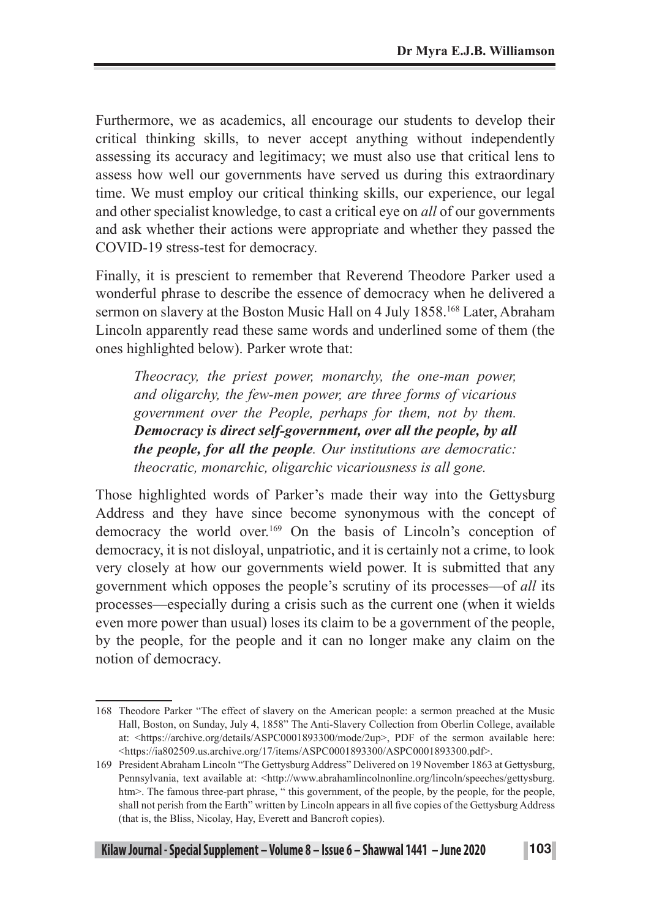Furthermore, we as academics, all encourage our students to develop their critical thinking skills, to never accept anything without independently assessing its accuracy and legitimacy; we must also use that critical lens to assess how well our governments have served us during this extraordinary time. We must employ our critical thinking skills, our experience, our legal and other specialist knowledge, to cast a critical eye on *all* of our governments and ask whether their actions were appropriate and whether they passed the COVID-19 stress-test for democracy.

Finally, it is prescient to remember that Reverend Theodore Parker used a wonderful phrase to describe the essence of democracy when he delivered a sermon on slavery at the Boston Music Hall on 4 July 1858.<sup>168</sup> Later, Abraham Lincoln apparently read these same words and underlined some of them (the ones highlighted below). Parker wrote that:

*Theocracy, the priest power, monarchy, the one-man power, and oligarchy, the few-men power, are three forms of vicarious government over the People, perhaps for them, not by them. Democracy is direct self-government, over all the people, by all the people, for all the people. Our institutions are democratic: theocratic, monarchic, oligarchic vicariousness is all gone.*

Those highlighted words of Parker's made their way into the Gettysburg Address and they have since become synonymous with the concept of democracy the world over.169 On the basis of Lincoln's conception of democracy, it is not disloyal, unpatriotic, and it is certainly not a crime, to look very closely at how our governments wield power. It is submitted that any government which opposes the people's scrutiny of its processes—of *all* its processes—especially during a crisis such as the current one (when it wields even more power than usual) loses its claim to be a government of the people, by the people, for the people and it can no longer make any claim on the notion of democracy.

<sup>168</sup> Theodore Parker "The effect of slavery on the American people: a sermon preached at the Music Hall, Boston, on Sunday, July 4, 1858" The Anti-Slavery Collection from Oberlin College, available at: <https://archive.org/details/ASPC0001893300/mode/2up>, PDF of the sermon available here: <https://ia802509.us.archive.org/17/items/ASPC0001893300/ASPC0001893300.pdf>.

<sup>169</sup> President Abraham Lincoln "The Gettysburg Address" Delivered on 19 November 1863 at Gettysburg, Pennsylvania, text available at: <http://www.abrahamlincolnonline.org/lincoln/speeches/gettysburg. htm>. The famous three-part phrase, " this government, of the people, by the people, for the people, shall not perish from the Earth" written by Lincoln appears in all five copies of the Gettysburg Address (that is, the Bliss, Nicolay, Hay, Everett and Bancroft copies).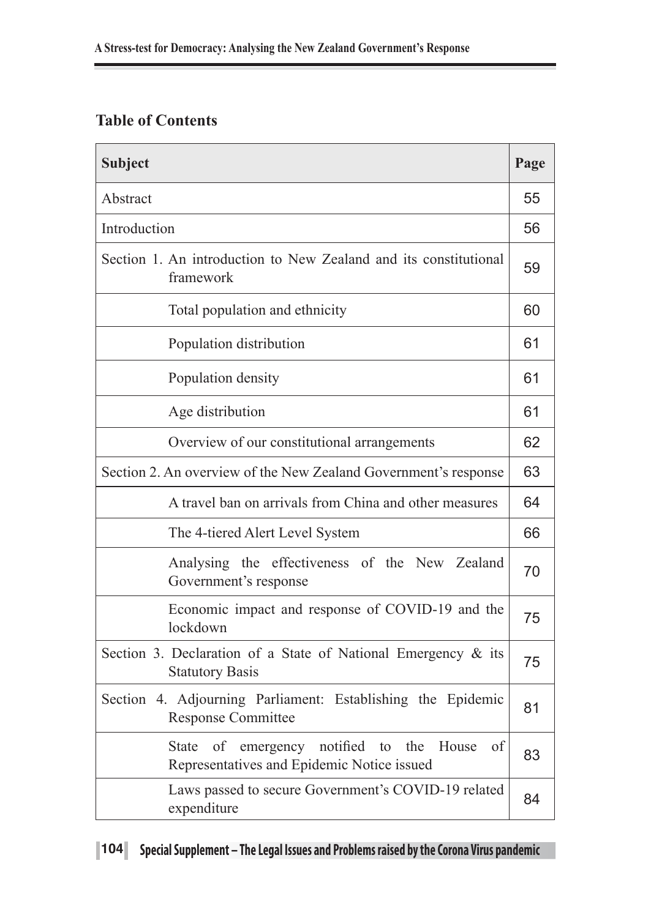## **Table of Contents**

| <b>Subject</b>                                                                                                     | Page |
|--------------------------------------------------------------------------------------------------------------------|------|
| Abstract                                                                                                           | 55   |
| Introduction                                                                                                       | 56   |
| Section 1. An introduction to New Zealand and its constitutional<br>framework                                      | 59   |
| Total population and ethnicity                                                                                     | 60   |
| Population distribution                                                                                            | 61   |
| Population density                                                                                                 | 61   |
| Age distribution                                                                                                   | 61   |
| Overview of our constitutional arrangements                                                                        | 62   |
| Section 2. An overview of the New Zealand Government's response                                                    | 63   |
| A travel ban on arrivals from China and other measures                                                             | 64   |
| The 4-tiered Alert Level System                                                                                    | 66   |
| Analysing the effectiveness of the New Zealand<br>Government's response                                            | 70   |
| Economic impact and response of COVID-19 and the<br>lockdown                                                       | 75   |
| Section 3. Declaration of a State of National Emergency & its<br><b>Statutory Basis</b>                            | 75   |
| Section 4. Adjourning Parliament: Establishing the Epidemic<br><b>Response Committee</b>                           | 81   |
| of<br>emergency notified<br>House<br>of<br><b>State</b><br>to<br>the<br>Representatives and Epidemic Notice issued | 83   |
| Laws passed to secure Government's COVID-19 related<br>expenditure                                                 | 84   |